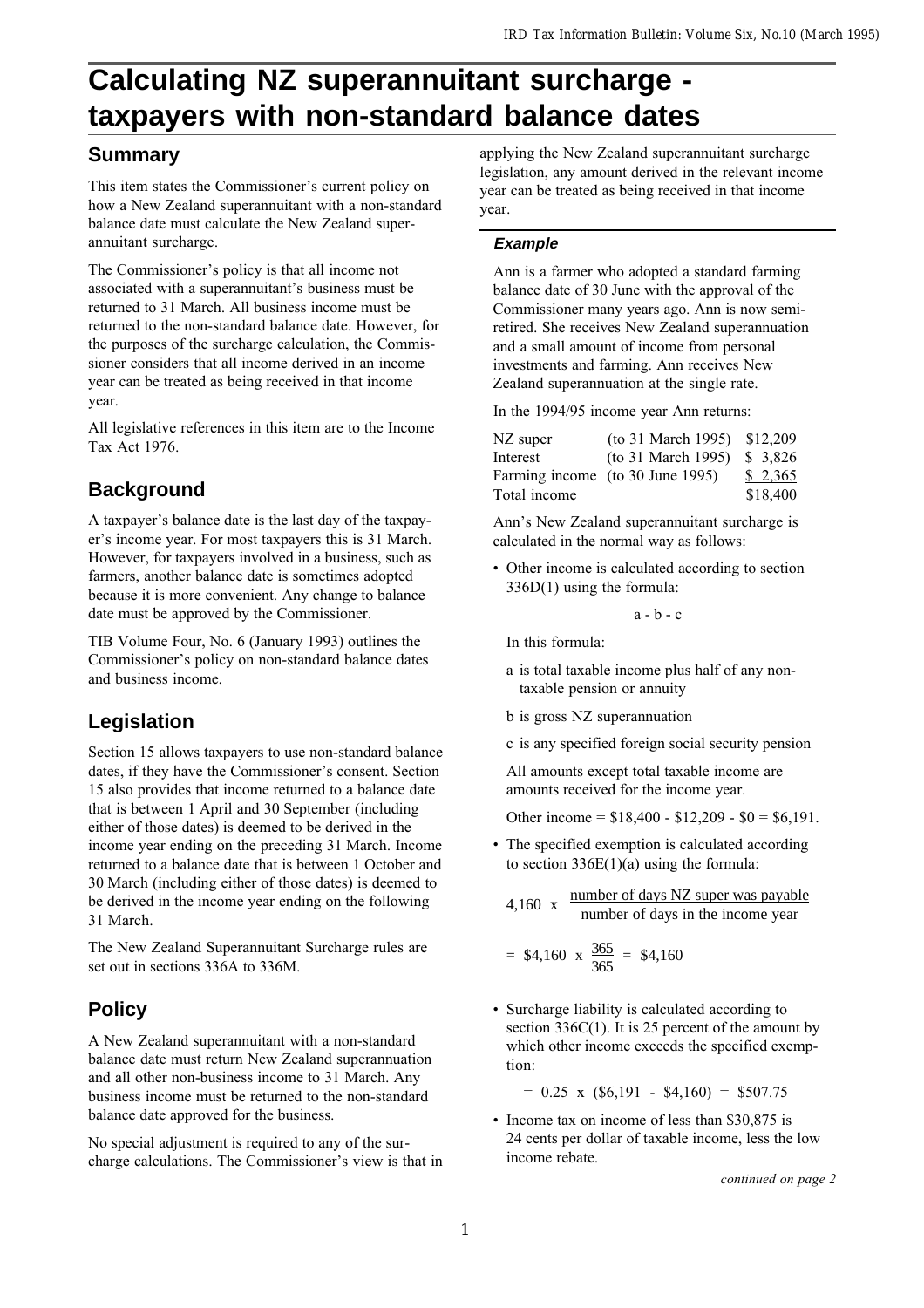# **Calculating NZ superannuitant surcharge taxpayers with non-standard balance dates**

### **Summary**

This item states the Commissioner's current policy on how a New Zealand superannuitant with a non-standard balance date must calculate the New Zealand superannuitant surcharge.

The Commissioner's policy is that all income not associated with a superannuitant's business must be returned to 31 March. All business income must be returned to the non-standard balance date. However, for the purposes of the surcharge calculation, the Commissioner considers that all income derived in an income year can be treated as being received in that income year.

All legislative references in this item are to the Income Tax Act 1976.

# **Background**

A taxpayer's balance date is the last day of the taxpayer's income year. For most taxpayers this is 31 March. However, for taxpayers involved in a business, such as farmers, another balance date is sometimes adopted because it is more convenient. Any change to balance date must be approved by the Commissioner.

TIB Volume Four, No. 6 (January 1993) outlines the Commissioner's policy on non-standard balance dates and business income.

# **Legislation**

Section 15 allows taxpayers to use non-standard balance dates, if they have the Commissioner's consent. Section 15 also provides that income returned to a balance date that is between 1 April and 30 September (including either of those dates) is deemed to be derived in the income year ending on the preceding 31 March. Income returned to a balance date that is between 1 October and 30 March (including either of those dates) is deemed to be derived in the income year ending on the following 31 March.

The New Zealand Superannuitant Surcharge rules are set out in sections 336A to 336M.

# **Policy**

A New Zealand superannuitant with a non-standard balance date must return New Zealand superannuation and all other non-business income to 31 March. Any business income must be returned to the non-standard balance date approved for the business.

No special adjustment is required to any of the surcharge calculations. The Commissioner's view is that in

applying the New Zealand superannuitant surcharge legislation, any amount derived in the relevant income year can be treated as being received in that income year.

#### **Example**

Ann is a farmer who adopted a standard farming balance date of 30 June with the approval of the Commissioner many years ago. Ann is now semiretired. She receives New Zealand superannuation and a small amount of income from personal investments and farming. Ann receives New Zealand superannuation at the single rate.

In the 1994/95 income year Ann returns:

| NZ super     | (to 31 March 1995) \$12,209      |          |
|--------------|----------------------------------|----------|
| Interest     | (to 31 March 1995)               | \$ 3.826 |
|              | Farming income (to 30 June 1995) | \$2,365  |
| Total income |                                  | \$18,400 |

Ann's New Zealand superannuitant surcharge is calculated in the normal way as follows:

 Other income is calculated according to section 336D(1) using the formula:

$$
a - b - c
$$

In this formula:

- a is total taxable income plus half of any nontaxable pension or annuity
- b is gross NZ superannuation
- c is any specified foreign social security pension

All amounts except total taxable income are amounts received for the income year.

Other income =  $$18,400 - $12,209 - $0 = $6,191$ .

 The specified exemption is calculated according to section  $336E(1)(a)$  using the formula:

number of days NZ super was payable  $4,160 \times$  number of days in the income year

$$
= \$4,160 \times \frac{365}{365} = \$4,160
$$

 Surcharge liability is calculated according to section  $336C(1)$ . It is 25 percent of the amount by which other income exceeds the specified exemption:

 $= 0.25$  x  $(\$6,191 - \$4,160) = \$507.75$ 

• Income tax on income of less than \$30,875 is 24 cents per dollar of taxable income, less the low income rebate.

continued on page 2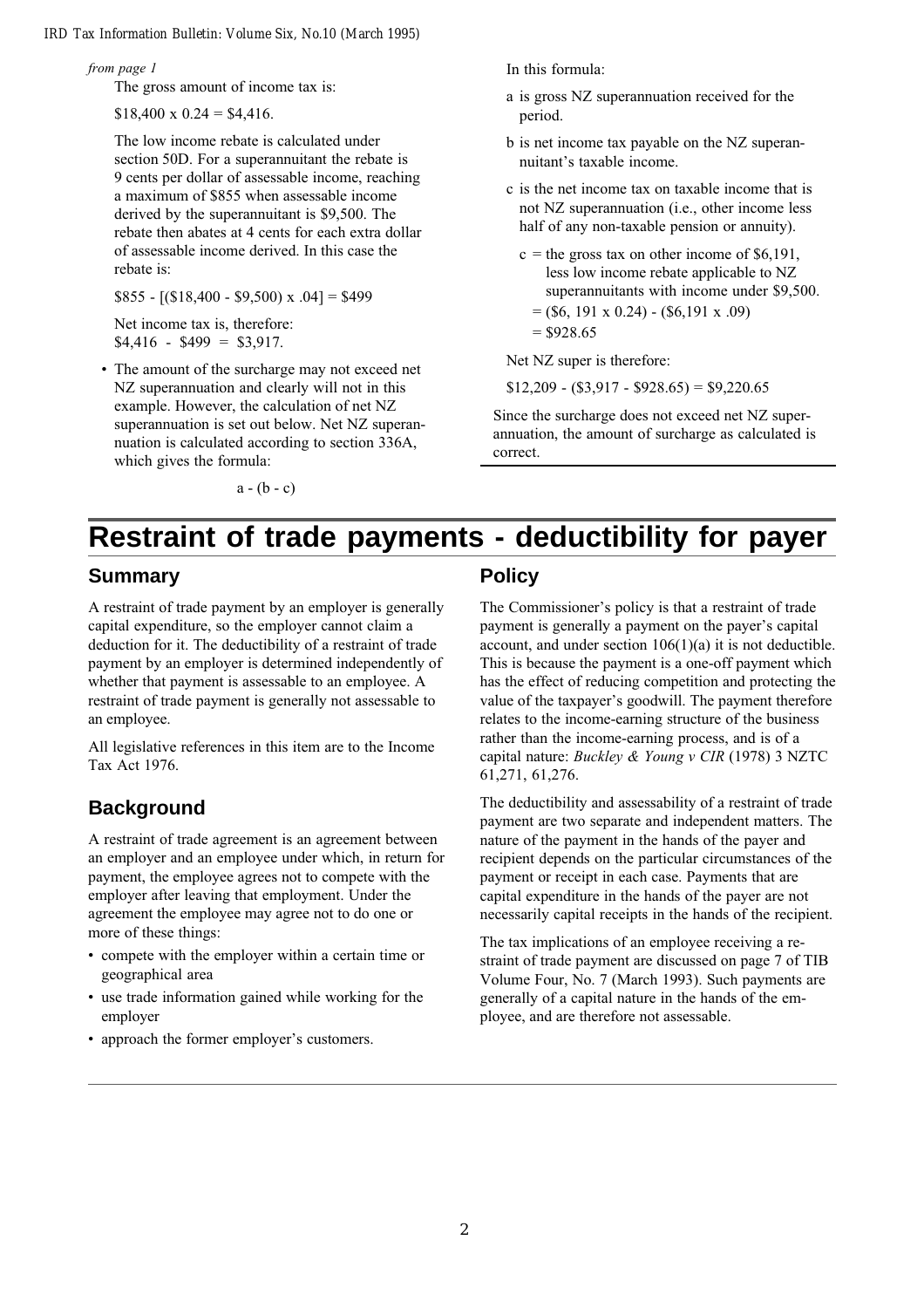#### *IRD Tax Information Bulletin: Volume Six, No.10 (March 1995)*

from page 1

The gross amount of income tax is:

 $$18,400 \times 0.24 = $4,416.$ 

The low income rebate is calculated under section 50D. For a superannuitant the rebate is 9 cents per dollar of assessable income, reaching a maximum of \$855 when assessable income derived by the superannuitant is \$9,500. The rebate then abates at 4 cents for each extra dollar of assessable income derived. In this case the rebate is:

 $$855 - [($18,400 - $9,500) \times .04] = $499$ 

Net income tax is, therefore:  $$4,416 - $499 = $3,917.$ 

 The amount of the surcharge may not exceed net NZ superannuation and clearly will not in this example. However, the calculation of net NZ superannuation is set out below. Net NZ superannuation is calculated according to section 336A, which gives the formula:

 $a - (b - c)$ 

In this formula:

- a is gross NZ superannuation received for the period.
- b is net income tax payable on the NZ superannuitant's taxable income.
- c is the net income tax on taxable income that is not NZ superannuation (i.e., other income less half of any non-taxable pension or annuity).
	- $c =$  the gross tax on other income of \$6,191. less low income rebate applicable to NZ superannuitants with income under \$9,500.
	- $= (\$6, 191 \times 0.24) (\$6, 191 \times .09)$

 $= $928.65$ 

Net NZ super is therefore:

 $$12,209 - (\$3,917 - \$928,65) = \$9,220,65$ 

Since the surcharge does not exceed net NZ superannuation, the amount of surcharge as calculated is correct.

# **Restraint of trade payments - deductibility for payer**

#### **Summary**

A restraint of trade payment by an employer is generally capital expenditure, so the employer cannot claim a deduction for it. The deductibility of a restraint of trade payment by an employer is determined independently of whether that payment is assessable to an employee. A restraint of trade payment is generally not assessable to an employee.

All legislative references in this item are to the Income Tax Act 1976.

# **Background**

A restraint of trade agreement is an agreement between an employer and an employee under which, in return for payment, the employee agrees not to compete with the employer after leaving that employment. Under the agreement the employee may agree not to do one or more of these things:

- compete with the employer within a certain time or geographical area
- use trade information gained while working for the employer
- approach the former employer's customers.

### **Policy**

The Commissioner's policy is that a restraint of trade payment is generally a payment on the payer's capital account, and under section 106(1)(a) it is not deductible. This is because the payment is a one-off payment which has the effect of reducing competition and protecting the value of the taxpayer's goodwill. The payment therefore relates to the income-earning structure of the business rather than the income-earning process, and is of a capital nature: Buckley & Young v CIR (1978) 3 NZTC 61,271, 61,276.

The deductibility and assessability of a restraint of trade payment are two separate and independent matters. The nature of the payment in the hands of the payer and recipient depends on the particular circumstances of the payment or receipt in each case. Payments that are capital expenditure in the hands of the payer are not necessarily capital receipts in the hands of the recipient.

The tax implications of an employee receiving a restraint of trade payment are discussed on page 7 of TIB Volume Four, No. 7 (March 1993). Such payments are generally of a capital nature in the hands of the employee, and are therefore not assessable.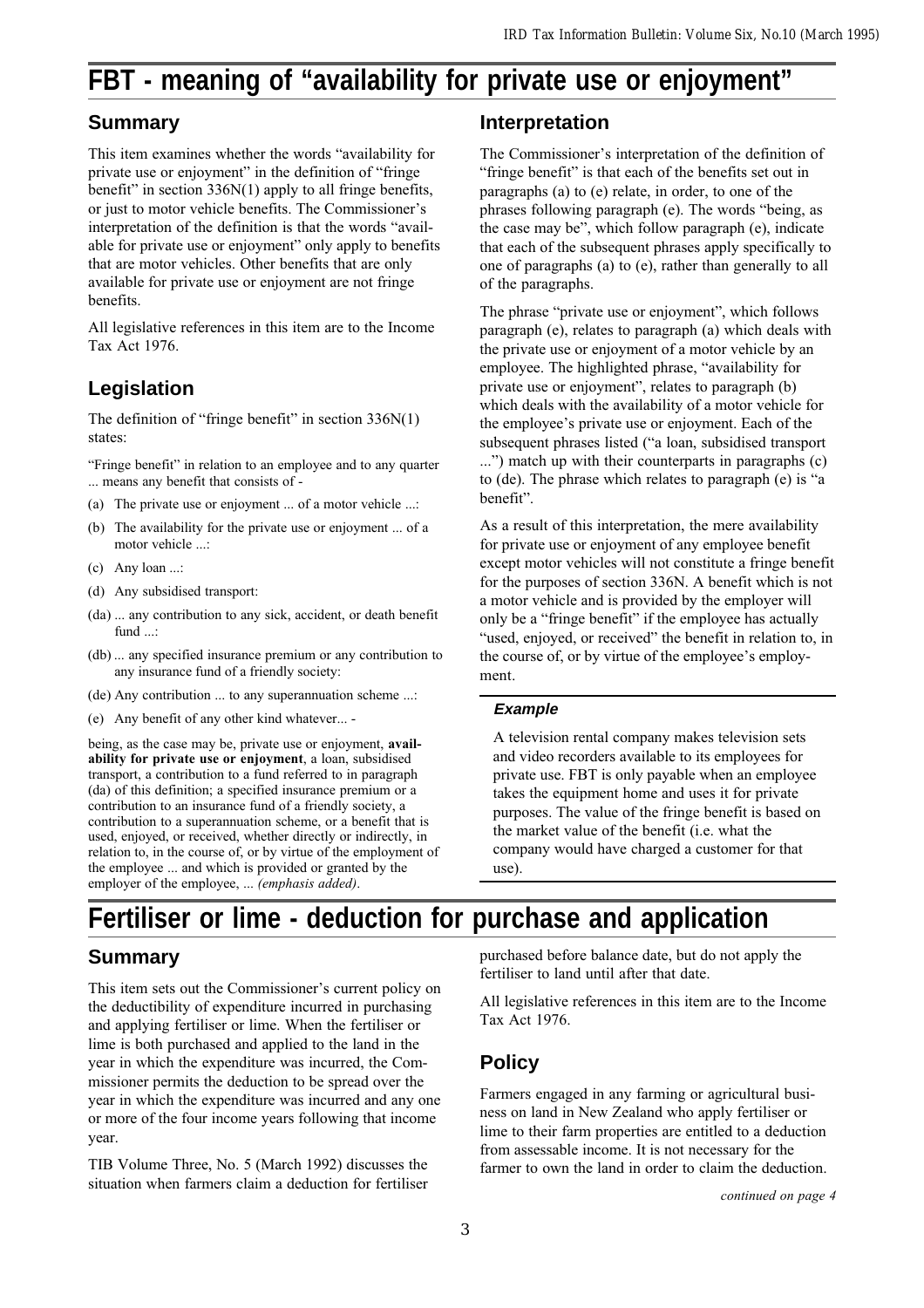# **FBT - meaning of "availability for private use or enjoyment"**

### **Summary**

This item examines whether the words "availability for private use or enjoyment" in the definition of "fringe" benefit" in section  $336N(1)$  apply to all fringe benefits, or just to motor vehicle benefits. The Commissioner's interpretation of the definition is that the words "available for private use or enjoyment" only apply to benefits that are motor vehicles. Other benefits that are only available for private use or enjoyment are not fringe benefits.

All legislative references in this item are to the Income Tax Act 1976.

# **Legislation**

The definition of "fringe benefit" in section  $336N(1)$ states:

"Fringe benefit" in relation to an employee and to any quarter ... means any benefit that consists of -

- (a) The private use or enjoyment ... of a motor vehicle ...:
- (b) The availability for the private use or enjoyment ... of a motor vehicle ...:
- (c) Any loan ...:
- (d) Any subsidised transport:
- (da) ... any contribution to any sick, accident, or death benefit fund ...:
- (db) ... any specified insurance premium or any contribution to any insurance fund of a friendly society:
- (de) Any contribution ... to any superannuation scheme ...:
- (e) Any benefit of any other kind whatever... -

being, as the case may be, private use or enjoyment, availability for private use or enjoyment, a loan, subsidised transport, a contribution to a fund referred to in paragraph (da) of this definition; a specified insurance premium or a contribution to an insurance fund of a friendly society, a contribution to a superannuation scheme, or a benefit that is used, enjoyed, or received, whether directly or indirectly, in relation to, in the course of, or by virtue of the employment of the employee ... and which is provided or granted by the employer of the employee, ... (emphasis added).

#### **Interpretation**

The Commissioner's interpretation of the definition of "fringe benefit" is that each of the benefits set out in paragraphs (a) to (e) relate, in order, to one of the phrases following paragraph (e). The words "being, as the case may be", which follow paragraph (e), indicate that each of the subsequent phrases apply specifically to one of paragraphs (a) to (e), rather than generally to all of the paragraphs.

The phrase "private use or enjoyment", which follows paragraph (e), relates to paragraph (a) which deals with the private use or enjoyment of a motor vehicle by an employee. The highlighted phrase, "availability for private use or enjoyment", relates to paragraph (b) which deals with the availability of a motor vehicle for the employee's private use or enjoyment. Each of the subsequent phrases listed ("a loan, subsidised transport ...) match up with their counterparts in paragraphs (c) to  $(de)$ . The phrase which relates to paragraph  $(e)$  is "a benefit".

As a result of this interpretation, the mere availability for private use or enjoyment of any employee benefit except motor vehicles will not constitute a fringe benefit for the purposes of section 336N. A benefit which is not a motor vehicle and is provided by the employer will only be a "fringe benefit" if the employee has actually "used, enjoyed, or received" the benefit in relation to, in the course of, or by virtue of the employee's employment.

#### **Example**

A television rental company makes television sets and video recorders available to its employees for private use. FBT is only payable when an employee takes the equipment home and uses it for private purposes. The value of the fringe benefit is based on the market value of the benefit (i.e. what the company would have charged a customer for that use).

# **Fertiliser or lime - deduction for purchase and application**

#### **Summary**

This item sets out the Commissioner's current policy on the deductibility of expenditure incurred in purchasing and applying fertiliser or lime. When the fertiliser or lime is both purchased and applied to the land in the year in which the expenditure was incurred, the Commissioner permits the deduction to be spread over the year in which the expenditure was incurred and any one or more of the four income years following that income year.

TIB Volume Three, No. 5 (March 1992) discusses the situation when farmers claim a deduction for fertiliser purchased before balance date, but do not apply the fertiliser to land until after that date.

All legislative references in this item are to the Income Tax Act 1976.

### **Policy**

Farmers engaged in any farming or agricultural business on land in New Zealand who apply fertiliser or lime to their farm properties are entitled to a deduction from assessable income. It is not necessary for the farmer to own the land in order to claim the deduction.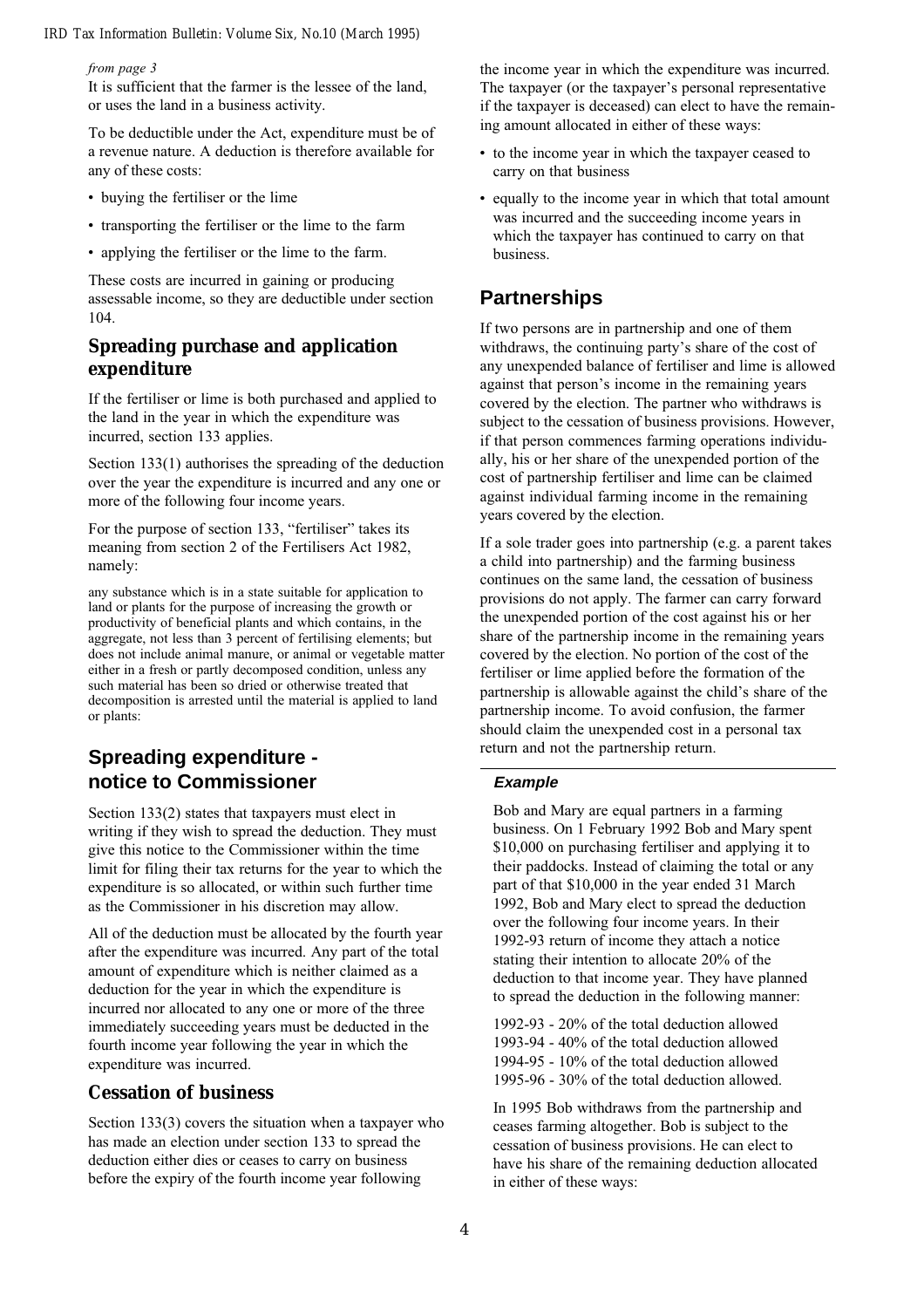#### *IRD Tax Information Bulletin: Volume Six, No.10 (March 1995)*

#### from page 3

It is sufficient that the farmer is the lessee of the land, or uses the land in a business activity.

To be deductible under the Act, expenditure must be of a revenue nature. A deduction is therefore available for any of these costs:

- buving the fertiliser or the lime
- transporting the fertiliser or the lime to the farm
- applying the fertiliser or the lime to the farm.

These costs are incurred in gaining or producing assessable income, so they are deductible under section 104.

#### **Spreading purchase and application expenditure**

If the fertiliser or lime is both purchased and applied to the land in the year in which the expenditure was incurred, section 133 applies.

Section 133(1) authorises the spreading of the deduction over the year the expenditure is incurred and any one or more of the following four income years.

For the purpose of section 133, "fertiliser" takes its meaning from section 2 of the Fertilisers Act 1982, namely:

any substance which is in a state suitable for application to land or plants for the purpose of increasing the growth or productivity of beneficial plants and which contains, in the aggregate, not less than 3 percent of fertilising elements; but does not include animal manure, or animal or vegetable matter either in a fresh or partly decomposed condition, unless any such material has been so dried or otherwise treated that decomposition is arrested until the material is applied to land or plants:

# **Spreading expenditure notice to Commissioner**

Section 133(2) states that taxpayers must elect in writing if they wish to spread the deduction. They must give this notice to the Commissioner within the time limit for filing their tax returns for the year to which the expenditure is so allocated, or within such further time as the Commissioner in his discretion may allow.

All of the deduction must be allocated by the fourth year after the expenditure was incurred. Any part of the total amount of expenditure which is neither claimed as a deduction for the year in which the expenditure is incurred nor allocated to any one or more of the three immediately succeeding years must be deducted in the fourth income year following the year in which the expenditure was incurred.

#### **Cessation of business**

Section 133(3) covers the situation when a taxpayer who has made an election under section 133 to spread the deduction either dies or ceases to carry on business before the expiry of the fourth income year following

the income year in which the expenditure was incurred. The taxpayer (or the taxpayer's personal representative if the taxpayer is deceased) can elect to have the remaining amount allocated in either of these ways:

- to the income year in which the taxpayer ceased to carry on that business
- equally to the income year in which that total amount was incurred and the succeeding income years in which the taxpayer has continued to carry on that business.

### **Partnerships**

If two persons are in partnership and one of them withdraws, the continuing party's share of the cost of any unexpended balance of fertiliser and lime is allowed against that person's income in the remaining years covered by the election. The partner who withdraws is subject to the cessation of business provisions. However, if that person commences farming operations individually, his or her share of the unexpended portion of the cost of partnership fertiliser and lime can be claimed against individual farming income in the remaining years covered by the election.

If a sole trader goes into partnership (e.g. a parent takes a child into partnership) and the farming business continues on the same land, the cessation of business provisions do not apply. The farmer can carry forward the unexpended portion of the cost against his or her share of the partnership income in the remaining years covered by the election. No portion of the cost of the fertiliser or lime applied before the formation of the partnership is allowable against the child's share of the partnership income. To avoid confusion, the farmer should claim the unexpended cost in a personal tax return and not the partnership return.

#### **Example**

Bob and Mary are equal partners in a farming business. On 1 February 1992 Bob and Mary spent \$10,000 on purchasing fertiliser and applying it to their paddocks. Instead of claiming the total or any part of that \$10,000 in the year ended 31 March 1992, Bob and Mary elect to spread the deduction over the following four income years. In their 1992-93 return of income they attach a notice stating their intention to allocate 20% of the deduction to that income year. They have planned to spread the deduction in the following manner:

1992-93 - 20% of the total deduction allowed 1993-94 - 40% of the total deduction allowed 1994-95 - 10% of the total deduction allowed 1995-96 - 30% of the total deduction allowed.

In 1995 Bob withdraws from the partnership and ceases farming altogether. Bob is subject to the cessation of business provisions. He can elect to have his share of the remaining deduction allocated in either of these ways: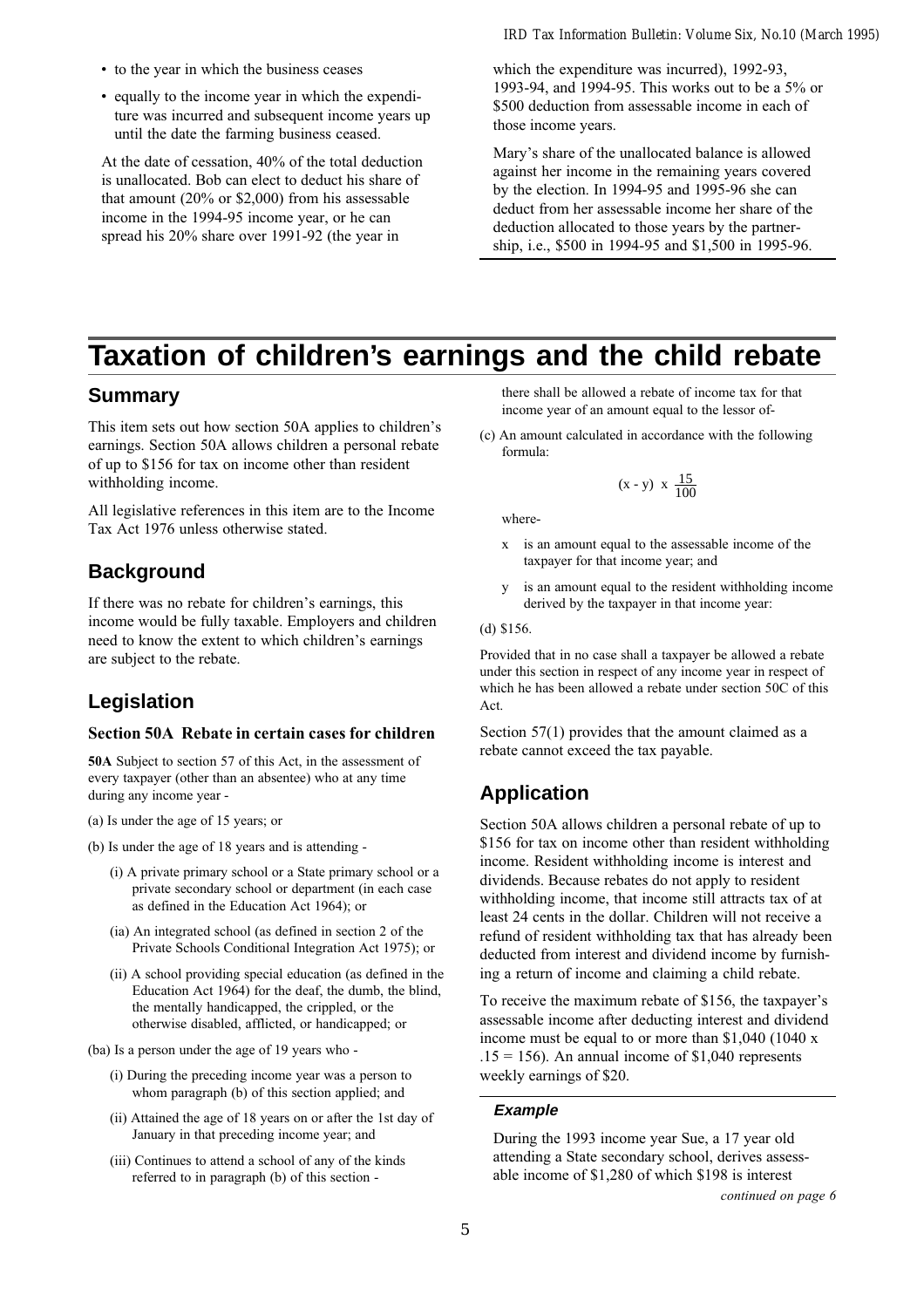- to the year in which the business ceases
- equally to the income year in which the expenditure was incurred and subsequent income years up until the date the farming business ceased.

At the date of cessation, 40% of the total deduction is unallocated. Bob can elect to deduct his share of that amount (20% or \$2,000) from his assessable income in the 1994-95 income year, or he can spread his 20% share over 1991-92 (the year in

*IRD Tax Information Bulletin: Volume Six, No.10 (March 1995)*

which the expenditure was incurred), 1992-93, 1993-94, and 1994-95. This works out to be a 5% or \$500 deduction from assessable income in each of those income years.

Mary's share of the unallocated balance is allowed against her income in the remaining years covered by the election. In 1994-95 and 1995-96 she can deduct from her assessable income her share of the deduction allocated to those years by the partnership, i.e., \$500 in 1994-95 and \$1,500 in 1995-96.

# **Taxation of children's earnings and the child rebate**

### **Summary**

This item sets out how section 50A applies to children's earnings. Section 50A allows children a personal rebate of up to \$156 for tax on income other than resident withholding income.

All legislative references in this item are to the Income Tax Act 1976 unless otherwise stated.

### **Background**

If there was no rebate for children's earnings, this income would be fully taxable. Employers and children need to know the extent to which children's earnings are subject to the rebate.

# **Legislation**

#### Section 50A Rebate in certain cases for children

50A Subject to section 57 of this Act, in the assessment of every taxpayer (other than an absentee) who at any time during any income year -

- (a) Is under the age of 15 years; or
- (b) Is under the age of 18 years and is attending
	- (i) A private primary school or a State primary school or a private secondary school or department (in each case as defined in the Education Act 1964); or
	- (ia) An integrated school (as defined in section 2 of the Private Schools Conditional Integration Act 1975); or
	- (ii) A school providing special education (as defined in the Education Act 1964) for the deaf, the dumb, the blind, the mentally handicapped, the crippled, or the otherwise disabled, afflicted, or handicapped; or
- (ba) Is a person under the age of 19 years who
	- (i) During the preceding income year was a person to whom paragraph (b) of this section applied; and
	- (ii) Attained the age of 18 years on or after the 1st day of January in that preceding income year; and
	- (iii) Continues to attend a school of any of the kinds referred to in paragraph (b) of this section -

there shall be allowed a rebate of income tax for that income year of an amount equal to the lessor of-

(c) An amount calculated in accordance with the following formula:

$$
(x - y) \times \frac{15}{100}
$$

where-

- x is an amount equal to the assessable income of the taxpayer for that income year; and
- y is an amount equal to the resident withholding income derived by the taxpayer in that income year:

#### (d) \$156.

Provided that in no case shall a taxpayer be allowed a rebate under this section in respect of any income year in respect of which he has been allowed a rebate under section 50C of this Act.

Section 57(1) provides that the amount claimed as a rebate cannot exceed the tax payable.

# **Application**

Section 50A allows children a personal rebate of up to \$156 for tax on income other than resident withholding income. Resident withholding income is interest and dividends. Because rebates do not apply to resident withholding income, that income still attracts tax of at least 24 cents in the dollar. Children will not receive a refund of resident withholding tax that has already been deducted from interest and dividend income by furnishing a return of income and claiming a child rebate.

To receive the maximum rebate of \$156, the taxpayer's assessable income after deducting interest and dividend income must be equal to or more than \$1,040 (1040 x  $.15 = 156$ . An annual income of \$1,040 represents weekly earnings of \$20.

#### **Example**

During the 1993 income year Sue, a 17 year old attending a State secondary school, derives assessable income of \$1,280 of which \$198 is interest continued on page 6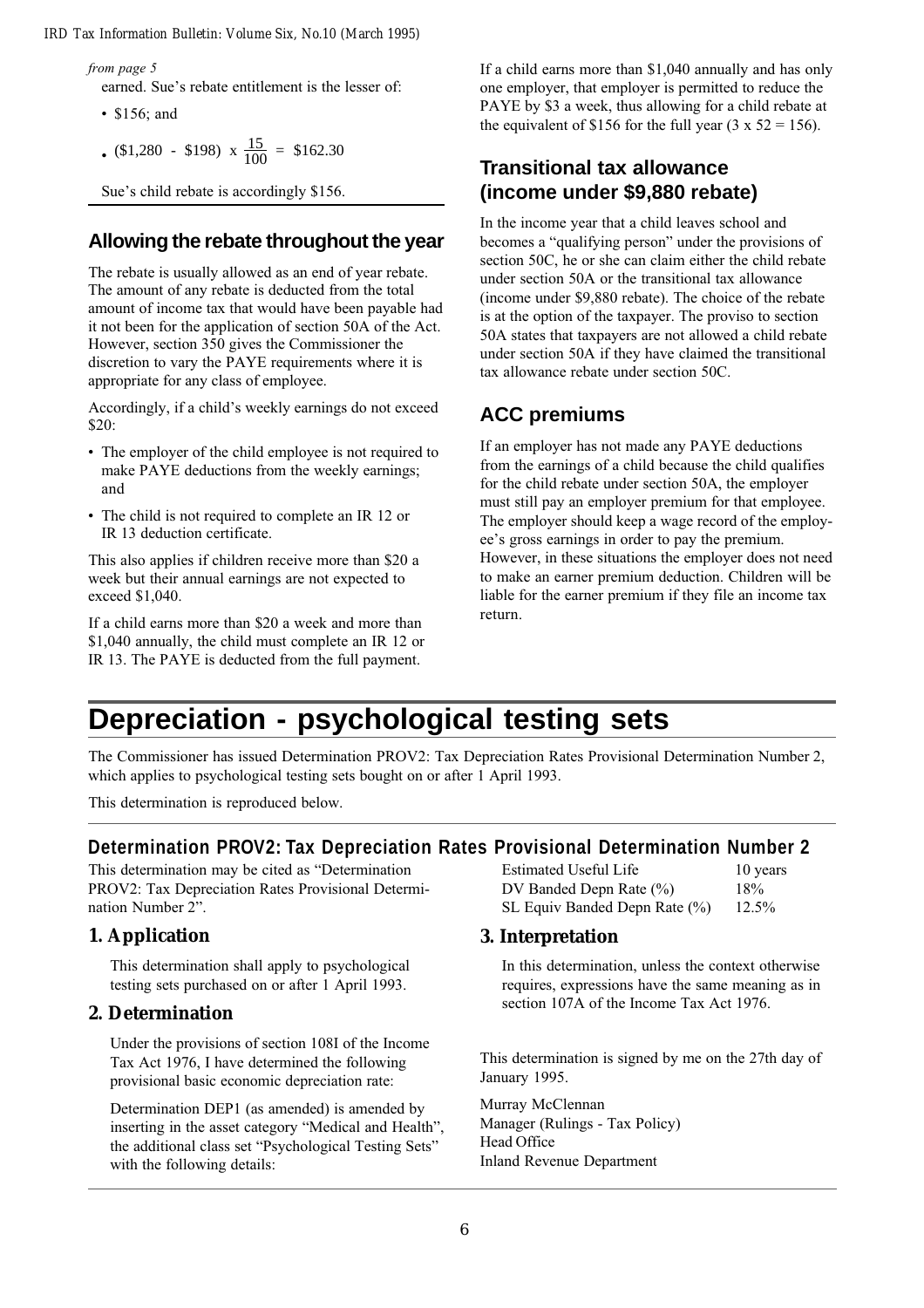*IRD Tax Information Bulletin: Volume Six, No.10 (March 1995)*

from page 5

earned. Sue's rebate entitlement is the lesser of:

• \$156; and

$$
\bullet \text{ ($1,280 - $198) x } \frac{15}{100} = $162.30
$$

Sue's child rebate is accordingly \$156.

### **Allowing the rebate throughout the year**

The rebate is usually allowed as an end of year rebate. The amount of any rebate is deducted from the total amount of income tax that would have been payable had it not been for the application of section 50A of the Act. However, section 350 gives the Commissioner the discretion to vary the PAYE requirements where it is appropriate for any class of employee.

Accordingly, if a child's weekly earnings do not exceed \$20:

- The employer of the child employee is not required to make PAYE deductions from the weekly earnings; and
- The child is not required to complete an IR 12 or IR 13 deduction certificate.

This also applies if children receive more than \$20 a week but their annual earnings are not expected to exceed \$1,040.

If a child earns more than \$20 a week and more than \$1,040 annually, the child must complete an IR 12 or IR 13. The PAYE is deducted from the full payment.

If a child earns more than \$1,040 annually and has only one employer, that employer is permitted to reduce the PAYE by \$3 a week, thus allowing for a child rebate at the equivalent of \$156 for the full year  $(3 \times 52 = 156)$ .

### **Transitional tax allowance (income under \$9,880 rebate)**

In the income year that a child leaves school and becomes a "qualifying person" under the provisions of section 50C, he or she can claim either the child rebate under section 50A or the transitional tax allowance (income under \$9,880 rebate). The choice of the rebate is at the option of the taxpayer. The proviso to section 50A states that taxpayers are not allowed a child rebate under section 50A if they have claimed the transitional tax allowance rebate under section 50C.

# **ACC premiums**

If an employer has not made any PAYE deductions from the earnings of a child because the child qualifies for the child rebate under section 50A, the employer must still pay an employer premium for that employee. The employer should keep a wage record of the employee's gross earnings in order to pay the premium. However, in these situations the employer does not need to make an earner premium deduction. Children will be liable for the earner premium if they file an income tax return.

# **Depreciation - psychological testing sets**

The Commissioner has issued Determination PROV2: Tax Depreciation Rates Provisional Determination Number 2, which applies to psychological testing sets bought on or after 1 April 1993.

This determination is reproduced below.

#### **Determination PROV2: Tax Depreciation Rates Provisional Determination Number 2**

This determination may be cited as "Determination PROV2: Tax Depreciation Rates Provisional Determination Number 2".

#### **1. Application**

This determination shall apply to psychological testing sets purchased on or after 1 April 1993.

#### **2. Determination**

Under the provisions of section 108I of the Income Tax Act 1976, I have determined the following provisional basic economic depreciation rate:

Determination DEP1 (as amended) is amended by inserting in the asset category "Medical and Health", the additional class set "Psychological Testing Sets" with the following details:

| <b>Estimated Useful Life</b>  | 10 years |
|-------------------------------|----------|
| DV Banded Depn Rate $(\% )$   | 18%      |
| SL Equiv Banded Depn Rate (%) | $12.5\%$ |

#### **3. Interpretation**

In this determination, unless the context otherwise requires, expressions have the same meaning as in section 107A of the Income Tax Act 1976.

This determination is signed by me on the 27th day of January 1995.

Murray McClennan Manager (Rulings - Tax Policy) Head Office Inland Revenue Department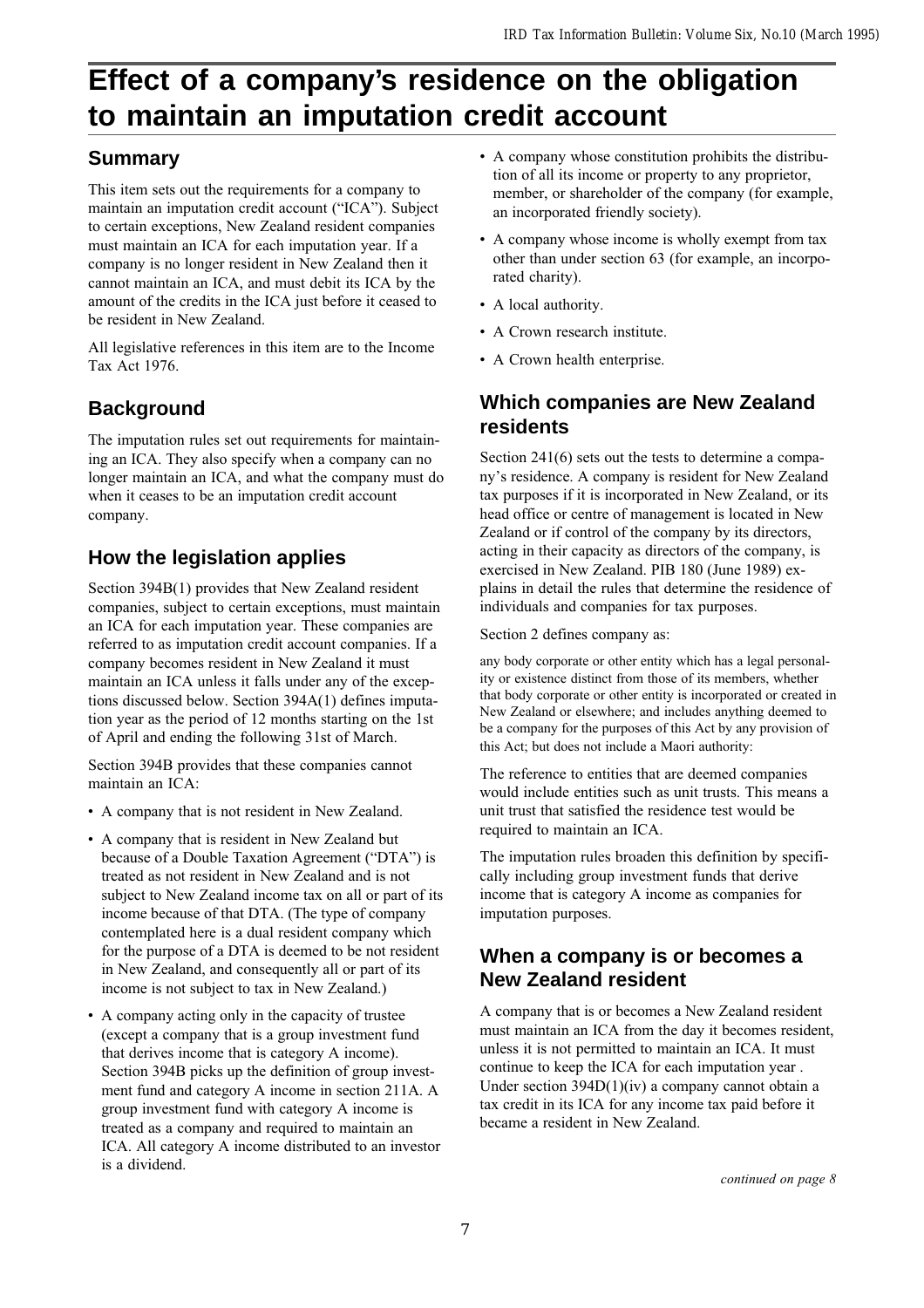# **Effect of a company's residence on the obligation to maintain an imputation credit account**

# **Summary**

This item sets out the requirements for a company to maintain an imputation credit account ("ICA"). Subject to certain exceptions, New Zealand resident companies must maintain an ICA for each imputation year. If a company is no longer resident in New Zealand then it cannot maintain an ICA, and must debit its ICA by the amount of the credits in the ICA just before it ceased to be resident in New Zealand.

All legislative references in this item are to the Income Tax Act 1976.

# **Background**

The imputation rules set out requirements for maintaining an ICA. They also specify when a company can no longer maintain an ICA, and what the company must do when it ceases to be an imputation credit account company.

# **How the legislation applies**

Section 394B(1) provides that New Zealand resident companies, subject to certain exceptions, must maintain an ICA for each imputation year. These companies are referred to as imputation credit account companies. If a company becomes resident in New Zealand it must maintain an ICA unless it falls under any of the exceptions discussed below. Section 394A(1) defines imputation year as the period of 12 months starting on the 1st of April and ending the following 31st of March.

Section 394B provides that these companies cannot maintain an ICA:

- A company that is not resident in New Zealand.
- A company that is resident in New Zealand but because of a Double Taxation Agreement ("DTA") is treated as not resident in New Zealand and is not subject to New Zealand income tax on all or part of its income because of that DTA. (The type of company contemplated here is a dual resident company which for the purpose of a DTA is deemed to be not resident in New Zealand, and consequently all or part of its income is not subject to tax in New Zealand.)
- A company acting only in the capacity of trustee (except a company that is a group investment fund that derives income that is category A income). Section 394B picks up the definition of group investment fund and category A income in section 211A. A group investment fund with category A income is treated as a company and required to maintain an ICA. All category A income distributed to an investor is a dividend.
- A company whose constitution prohibits the distribution of all its income or property to any proprietor, member, or shareholder of the company (for example, an incorporated friendly society).
- A company whose income is wholly exempt from tax other than under section 63 (for example, an incorporated charity).
- A local authority.
- A Crown research institute.
- A Crown health enterprise.

### **Which companies are New Zealand residents**

Section 241(6) sets out the tests to determine a company's residence. A company is resident for New Zealand tax purposes if it is incorporated in New Zealand, or its head office or centre of management is located in New Zealand or if control of the company by its directors, acting in their capacity as directors of the company, is exercised in New Zealand. PIB 180 (June 1989) explains in detail the rules that determine the residence of individuals and companies for tax purposes.

Section 2 defines company as:

any body corporate or other entity which has a legal personality or existence distinct from those of its members, whether that body corporate or other entity is incorporated or created in New Zealand or elsewhere; and includes anything deemed to be a company for the purposes of this Act by any provision of this Act; but does not include a Maori authority:

The reference to entities that are deemed companies would include entities such as unit trusts. This means a unit trust that satisfied the residence test would be required to maintain an ICA.

The imputation rules broaden this definition by specifically including group investment funds that derive income that is category A income as companies for imputation purposes.

### **When a company is or becomes a New Zealand resident**

A company that is or becomes a New Zealand resident must maintain an ICA from the day it becomes resident, unless it is not permitted to maintain an ICA. It must continue to keep the ICA for each imputation year . Under section 394D(1)(iv) a company cannot obtain a tax credit in its ICA for any income tax paid before it became a resident in New Zealand.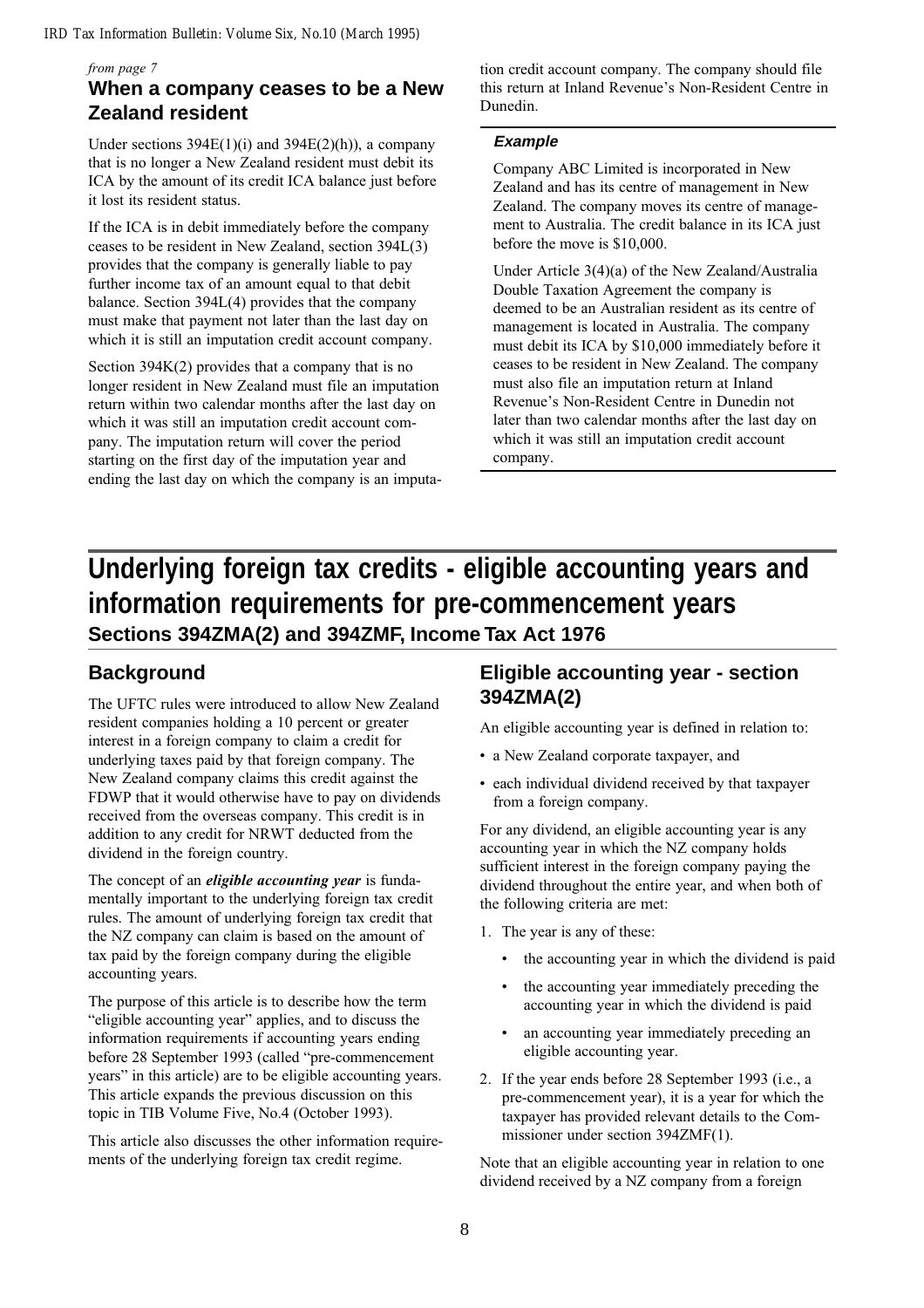#### from page 7

# **When a company ceases to be a New Zealand resident**

Under sections  $394E(1)(i)$  and  $394E(2)(h)$ , a company that is no longer a New Zealand resident must debit its ICA by the amount of its credit ICA balance just before it lost its resident status.

If the ICA is in debit immediately before the company ceases to be resident in New Zealand, section 394L(3) provides that the company is generally liable to pay further income tax of an amount equal to that debit balance. Section 394L(4) provides that the company must make that payment not later than the last day on which it is still an imputation credit account company.

Section  $394K(2)$  provides that a company that is no longer resident in New Zealand must file an imputation return within two calendar months after the last day on which it was still an imputation credit account company. The imputation return will cover the period starting on the first day of the imputation year and ending the last day on which the company is an imputa-

tion credit account company. The company should file this return at Inland Revenue's Non-Resident Centre in Dunedin.

#### **Example**

Company ABC Limited is incorporated in New Zealand and has its centre of management in New Zealand. The company moves its centre of management to Australia. The credit balance in its ICA just before the move is \$10,000.

Under Article 3(4)(a) of the New Zealand/Australia Double Taxation Agreement the company is deemed to be an Australian resident as its centre of management is located in Australia. The company must debit its ICA by \$10,000 immediately before it ceases to be resident in New Zealand. The company must also file an imputation return at Inland Revenue's Non-Resident Centre in Dunedin not later than two calendar months after the last day on which it was still an imputation credit account company.

# **Underlying foreign tax credits - eligible accounting years and information requirements for pre-commencement years Sections 394ZMA(2) and 394ZMF, Income Tax Act 1976**

# **Background**

The UFTC rules were introduced to allow New Zealand resident companies holding a 10 percent or greater interest in a foreign company to claim a credit for underlying taxes paid by that foreign company. The New Zealand company claims this credit against the FDWP that it would otherwise have to pay on dividends received from the overseas company. This credit is in addition to any credit for NRWT deducted from the dividend in the foreign country.

The concept of an *eligible accounting year* is fundamentally important to the underlying foreign tax credit rules. The amount of underlying foreign tax credit that the NZ company can claim is based on the amount of tax paid by the foreign company during the eligible accounting years.

The purpose of this article is to describe how the term "eligible accounting year" applies, and to discuss the information requirements if accounting years ending before 28 September 1993 (called "pre-commencement years" in this article) are to be eligible accounting years. This article expands the previous discussion on this topic in TIB Volume Five, No.4 (October 1993).

This article also discusses the other information requirements of the underlying foreign tax credit regime.

### **Eligible accounting year - section 394ZMA(2)**

An eligible accounting year is defined in relation to:

- a New Zealand corporate taxpayer, and
- each individual dividend received by that taxpayer from a foreign company.

For any dividend, an eligible accounting year is any accounting year in which the NZ company holds sufficient interest in the foreign company paying the dividend throughout the entire year, and when both of the following criteria are met:

- 1. The year is any of these:
	- the accounting year in which the dividend is paid
	- the accounting year immediately preceding the accounting year in which the dividend is paid
	- an accounting year immediately preceding an eligible accounting year.
- 2. If the year ends before 28 September 1993 (i.e., a pre-commencement year), it is a year for which the taxpayer has provided relevant details to the Commissioner under section 394ZMF(1).

Note that an eligible accounting year in relation to one dividend received by a NZ company from a foreign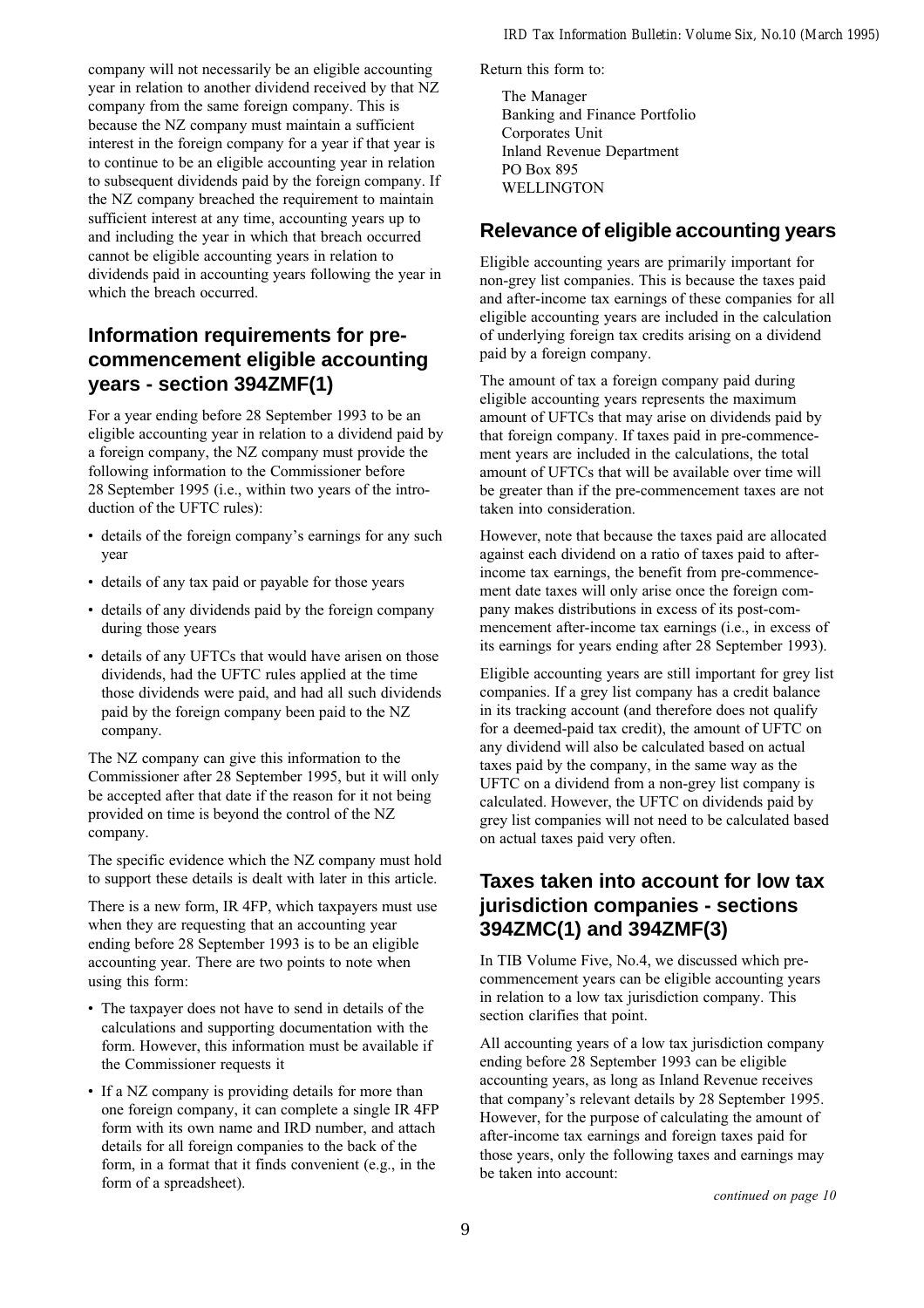company will not necessarily be an eligible accounting year in relation to another dividend received by that NZ company from the same foreign company. This is because the NZ company must maintain a sufficient interest in the foreign company for a year if that year is to continue to be an eligible accounting year in relation to subsequent dividends paid by the foreign company. If the NZ company breached the requirement to maintain sufficient interest at any time, accounting years up to and including the year in which that breach occurred cannot be eligible accounting years in relation to dividends paid in accounting years following the year in which the breach occurred.

# **Information requirements for precommencement eligible accounting years - section 394ZMF(1)**

For a year ending before 28 September 1993 to be an eligible accounting year in relation to a dividend paid by a foreign company, the NZ company must provide the following information to the Commissioner before 28 September 1995 (i.e., within two years of the introduction of the UFTC rules):

- details of the foreign company's earnings for any such year
- details of any tax paid or payable for those years
- details of any dividends paid by the foreign company during those years
- details of any UFTCs that would have arisen on those dividends, had the UFTC rules applied at the time those dividends were paid, and had all such dividends paid by the foreign company been paid to the NZ company.

The NZ company can give this information to the Commissioner after 28 September 1995, but it will only be accepted after that date if the reason for it not being provided on time is beyond the control of the NZ company.

The specific evidence which the NZ company must hold to support these details is dealt with later in this article.

There is a new form, IR 4FP, which taxpayers must use when they are requesting that an accounting year ending before 28 September 1993 is to be an eligible accounting year. There are two points to note when using this form:

- The taxpayer does not have to send in details of the calculations and supporting documentation with the form. However, this information must be available if the Commissioner requests it
- If a NZ company is providing details for more than one foreign company, it can complete a single IR 4FP form with its own name and IRD number, and attach details for all foreign companies to the back of the form, in a format that it finds convenient (e.g., in the form of a spreadsheet).

Return this form to:

The Manager Banking and Finance Portfolio Corporates Unit Inland Revenue Department PO Box 895 WELLINGTON

### **Relevance of eligible accounting years**

Eligible accounting years are primarily important for non-grey list companies. This is because the taxes paid and after-income tax earnings of these companies for all eligible accounting years are included in the calculation of underlying foreign tax credits arising on a dividend paid by a foreign company.

The amount of tax a foreign company paid during eligible accounting years represents the maximum amount of UFTCs that may arise on dividends paid by that foreign company. If taxes paid in pre-commencement years are included in the calculations, the total amount of UFTCs that will be available over time will be greater than if the pre-commencement taxes are not taken into consideration.

However, note that because the taxes paid are allocated against each dividend on a ratio of taxes paid to afterincome tax earnings, the benefit from pre-commencement date taxes will only arise once the foreign company makes distributions in excess of its post-commencement after-income tax earnings (i.e., in excess of its earnings for years ending after 28 September 1993).

Eligible accounting years are still important for grey list companies. If a grey list company has a credit balance in its tracking account (and therefore does not qualify for a deemed-paid tax credit), the amount of UFTC on any dividend will also be calculated based on actual taxes paid by the company, in the same way as the UFTC on a dividend from a non-grey list company is calculated. However, the UFTC on dividends paid by grey list companies will not need to be calculated based on actual taxes paid very often.

# **Taxes taken into account for low tax jurisdiction companies - sections 394ZMC(1) and 394ZMF(3)**

In TIB Volume Five, No.4, we discussed which precommencement years can be eligible accounting years in relation to a low tax jurisdiction company. This section clarifies that point.

All accounting years of a low tax jurisdiction company ending before 28 September 1993 can be eligible accounting years, as long as Inland Revenue receives that company's relevant details by 28 September 1995. However, for the purpose of calculating the amount of after-income tax earnings and foreign taxes paid for those years, only the following taxes and earnings may be taken into account: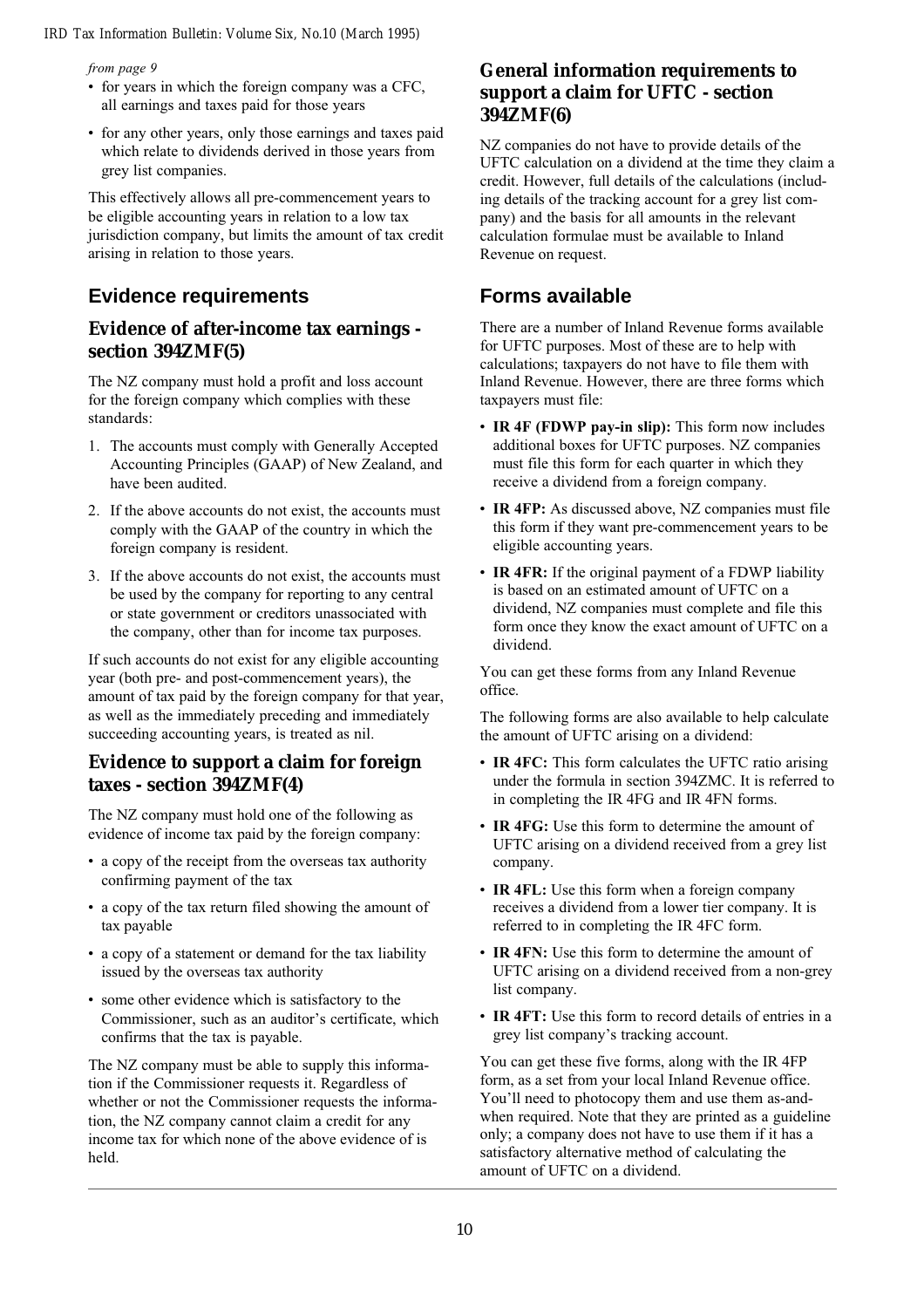#### *IRD Tax Information Bulletin: Volume Six, No.10 (March 1995)*

from page 9

- for years in which the foreign company was a CFC, all earnings and taxes paid for those years
- for any other years, only those earnings and taxes paid which relate to dividends derived in those years from grey list companies.

This effectively allows all pre-commencement years to be eligible accounting years in relation to a low tax jurisdiction company, but limits the amount of tax credit arising in relation to those years.

### **Evidence requirements**

#### **Evidence of after-income tax earnings section 394ZMF(5)**

The NZ company must hold a profit and loss account for the foreign company which complies with these standards:

- 1. The accounts must comply with Generally Accepted Accounting Principles (GAAP) of New Zealand, and have been audited.
- 2. If the above accounts do not exist, the accounts must comply with the GAAP of the country in which the foreign company is resident.
- 3. If the above accounts do not exist, the accounts must be used by the company for reporting to any central or state government or creditors unassociated with the company, other than for income tax purposes.

If such accounts do not exist for any eligible accounting year (both pre- and post-commencement years), the amount of tax paid by the foreign company for that year, as well as the immediately preceding and immediately succeeding accounting years, is treated as nil.

#### **Evidence to support a claim for foreign taxes - section 394ZMF(4)**

The NZ company must hold one of the following as evidence of income tax paid by the foreign company:

- a copy of the receipt from the overseas tax authority confirming payment of the tax
- a copy of the tax return filed showing the amount of tax payable
- a copy of a statement or demand for the tax liability issued by the overseas tax authority
- some other evidence which is satisfactory to the Commissioner, such as an auditor's certificate, which confirms that the tax is payable.

The NZ company must be able to supply this information if the Commissioner requests it. Regardless of whether or not the Commissioner requests the information, the NZ company cannot claim a credit for any income tax for which none of the above evidence of is held.

#### **General information requirements to support a claim for UFTC - section 394ZMF(6)**

NZ companies do not have to provide details of the UFTC calculation on a dividend at the time they claim a credit. However, full details of the calculations (including details of the tracking account for a grey list company) and the basis for all amounts in the relevant calculation formulae must be available to Inland Revenue on request.

# **Forms available**

There are a number of Inland Revenue forms available for UFTC purposes. Most of these are to help with calculations; taxpayers do not have to file them with Inland Revenue. However, there are three forms which taxpayers must file:

- IR 4F (FDWP pay-in slip): This form now includes additional boxes for UFTC purposes. NZ companies must file this form for each quarter in which they receive a dividend from a foreign company.
- IR 4FP: As discussed above, NZ companies must file this form if they want pre-commencement years to be eligible accounting years.
- IR 4FR: If the original payment of a FDWP liability is based on an estimated amount of UFTC on a dividend, NZ companies must complete and file this form once they know the exact amount of UFTC on a dividend.

You can get these forms from any Inland Revenue office.

The following forms are also available to help calculate the amount of UFTC arising on a dividend:

- IR 4FC: This form calculates the UFTC ratio arising under the formula in section 394ZMC. It is referred to in completing the IR 4FG and IR 4FN forms.
- IR 4FG: Use this form to determine the amount of UFTC arising on a dividend received from a grey list company.
- IR 4FL: Use this form when a foreign company receives a dividend from a lower tier company. It is referred to in completing the IR 4FC form.
- IR 4FN: Use this form to determine the amount of UFTC arising on a dividend received from a non-grey list company.
- IR 4FT: Use this form to record details of entries in a grey list company's tracking account.

You can get these five forms, along with the IR 4FP form, as a set from your local Inland Revenue office. You'll need to photocopy them and use them as-andwhen required. Note that they are printed as a guideline only; a company does not have to use them if it has a satisfactory alternative method of calculating the amount of UFTC on a dividend.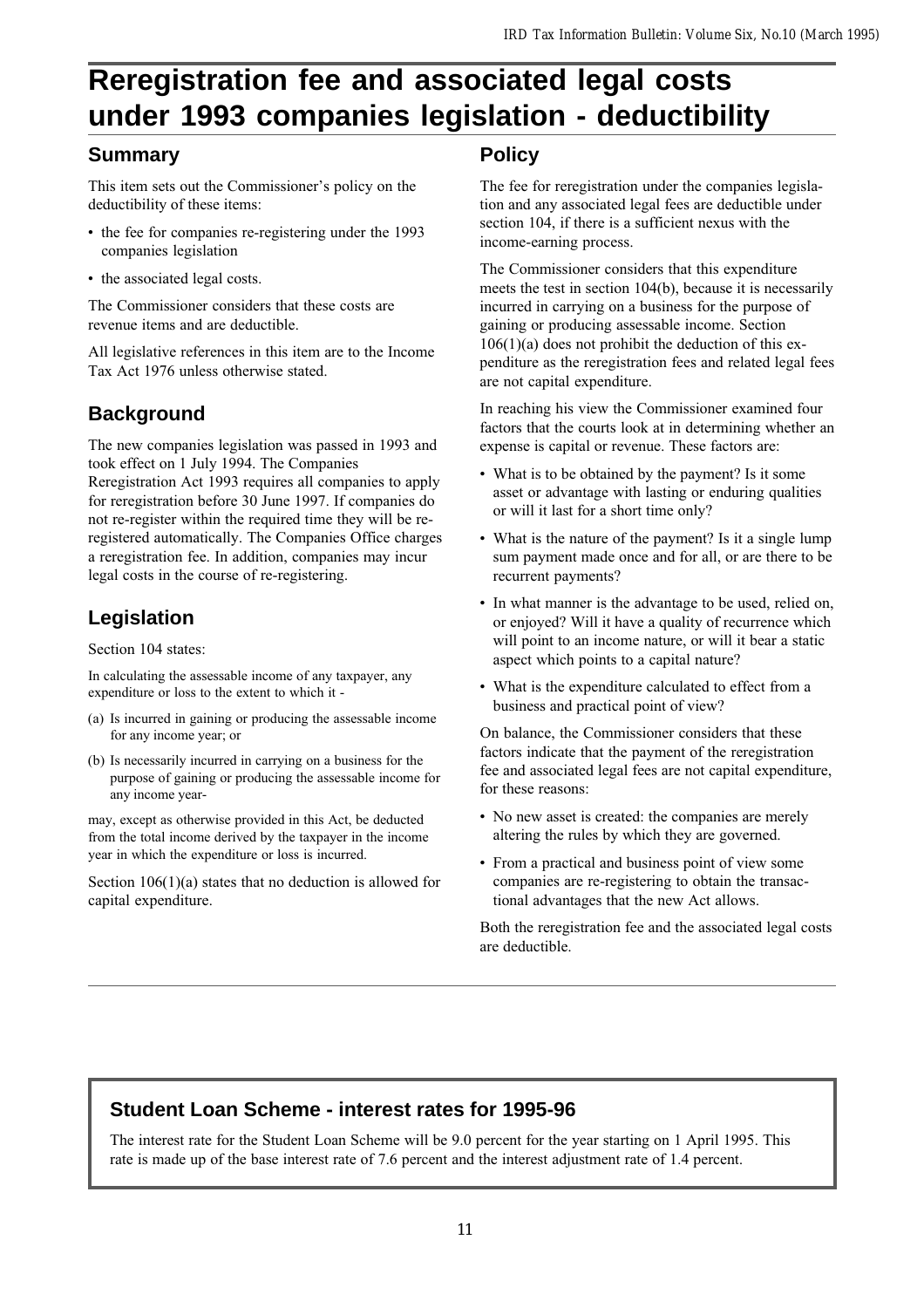# **Reregistration fee and associated legal costs under 1993 companies legislation - deductibility**

### **Summary**

This item sets out the Commissioner's policy on the deductibility of these items:

- the fee for companies re-registering under the 1993 companies legislation
- the associated legal costs.

The Commissioner considers that these costs are revenue items and are deductible.

All legislative references in this item are to the Income Tax Act 1976 unless otherwise stated.

# **Background**

The new companies legislation was passed in 1993 and took effect on 1 July 1994. The Companies Reregistration Act 1993 requires all companies to apply for reregistration before 30 June 1997. If companies do not re-register within the required time they will be reregistered automatically. The Companies Office charges a reregistration fee. In addition, companies may incur legal costs in the course of re-registering.

# **Legislation**

Section 104 states:

In calculating the assessable income of any taxpayer, any expenditure or loss to the extent to which it -

- (a) Is incurred in gaining or producing the assessable income for any income year; or
- (b) Is necessarily incurred in carrying on a business for the purpose of gaining or producing the assessable income for any income year-

may, except as otherwise provided in this Act, be deducted from the total income derived by the taxpayer in the income year in which the expenditure or loss is incurred.

Section 106(1)(a) states that no deduction is allowed for capital expenditure.

### **Policy**

The fee for reregistration under the companies legislation and any associated legal fees are deductible under section 104, if there is a sufficient nexus with the income-earning process.

The Commissioner considers that this expenditure meets the test in section 104(b), because it is necessarily incurred in carrying on a business for the purpose of gaining or producing assessable income. Section  $106(1)(a)$  does not prohibit the deduction of this expenditure as the reregistration fees and related legal fees are not capital expenditure.

In reaching his view the Commissioner examined four factors that the courts look at in determining whether an expense is capital or revenue. These factors are:

- What is to be obtained by the payment? Is it some asset or advantage with lasting or enduring qualities or will it last for a short time only?
- What is the nature of the payment? Is it a single lump sum payment made once and for all, or are there to be recurrent payments?
- In what manner is the advantage to be used, relied on, or enjoyed? Will it have a quality of recurrence which will point to an income nature, or will it bear a static aspect which points to a capital nature?
- What is the expenditure calculated to effect from a business and practical point of view?

On balance, the Commissioner considers that these factors indicate that the payment of the reregistration fee and associated legal fees are not capital expenditure, for these reasons:

- No new asset is created: the companies are merely altering the rules by which they are governed.
- From a practical and business point of view some companies are re-registering to obtain the transactional advantages that the new Act allows.

Both the reregistration fee and the associated legal costs are deductible.

# **Student Loan Scheme - interest rates for 1995-96**

The interest rate for the Student Loan Scheme will be 9.0 percent for the year starting on 1 April 1995. This rate is made up of the base interest rate of 7.6 percent and the interest adjustment rate of 1.4 percent.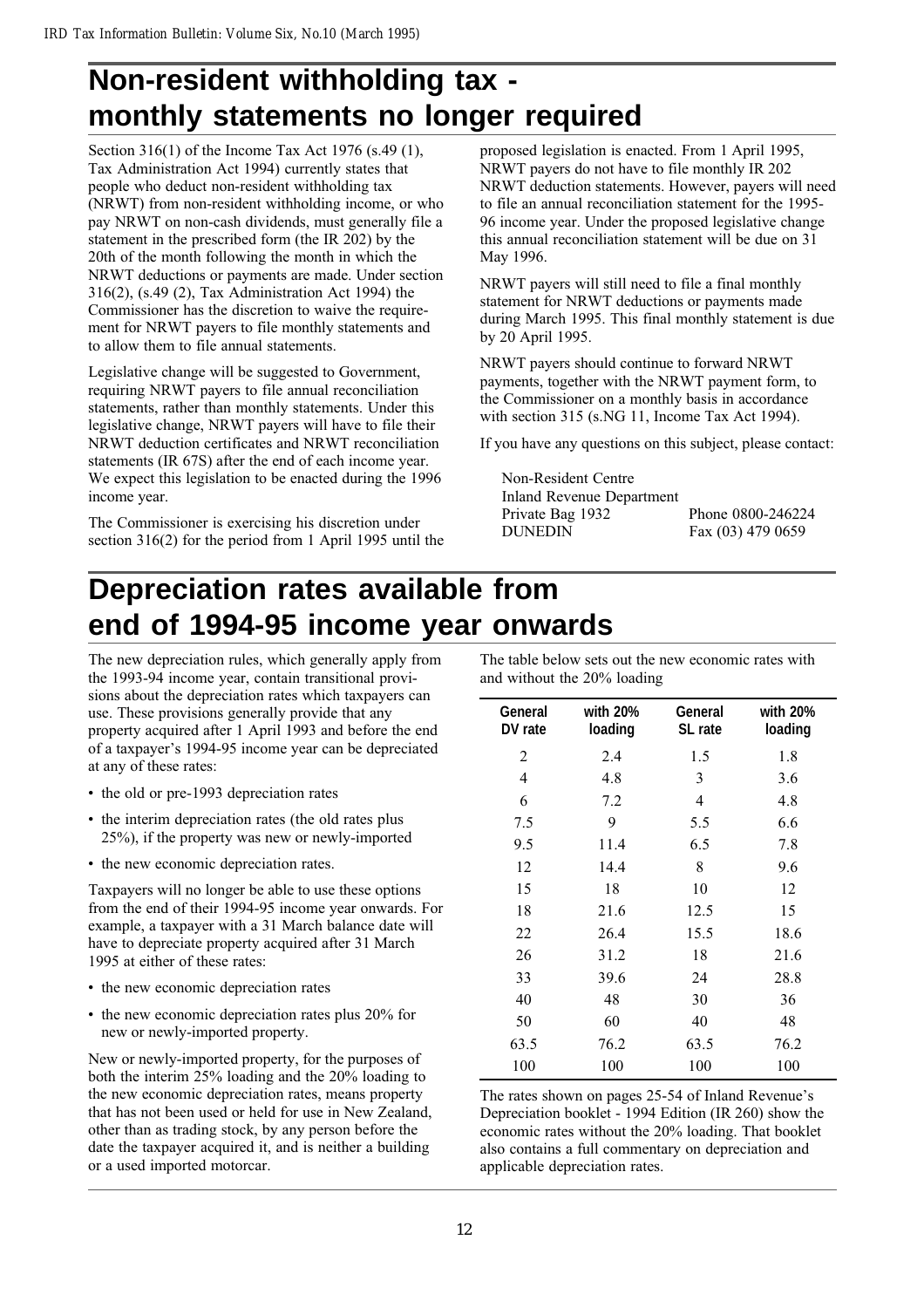# **Non-resident withholding tax monthly statements no longer required**

Section 316(1) of the Income Tax Act 1976 (s.49 (1), Tax Administration Act 1994) currently states that people who deduct non-resident withholding tax (NRWT) from non-resident withholding income, or who pay NRWT on non-cash dividends, must generally file a statement in the prescribed form (the IR 202) by the 20th of the month following the month in which the NRWT deductions or payments are made. Under section 316(2), (s.49 (2), Tax Administration Act 1994) the Commissioner has the discretion to waive the requirement for NRWT payers to file monthly statements and to allow them to file annual statements.

Legislative change will be suggested to Government, requiring NRWT payers to file annual reconciliation statements, rather than monthly statements. Under this legislative change, NRWT payers will have to file their NRWT deduction certificates and NRWT reconciliation statements (IR 67S) after the end of each income year. We expect this legislation to be enacted during the 1996 income year.

The Commissioner is exercising his discretion under section 316(2) for the period from 1 April 1995 until the

proposed legislation is enacted. From 1 April 1995, NRWT payers do not have to file monthly IR 202 NRWT deduction statements. However, payers will need to file an annual reconciliation statement for the 1995- 96 income year. Under the proposed legislative change this annual reconciliation statement will be due on 31 May 1996.

NRWT payers will still need to file a final monthly statement for NRWT deductions or payments made during March 1995. This final monthly statement is due by 20 April 1995.

NRWT payers should continue to forward NRWT payments, together with the NRWT payment form, to the Commissioner on a monthly basis in accordance with section 315 (s.NG 11, Income Tax Act 1994).

If you have any questions on this subject, please contact:

Non-Resident Centre Inland Revenue Department Private Bag 1932 Phone 0800-246224 DUNEDIN Fax (03) 479 0659

# **Depreciation rates available from end of 1994-95 income year onwards**

The new depreciation rules, which generally apply from the 1993-94 income year, contain transitional provisions about the depreciation rates which taxpayers can use. These provisions generally provide that any property acquired after 1 April 1993 and before the end of a taxpayer's 1994-95 income year can be depreciated at any of these rates:

- the old or pre-1993 depreciation rates
- the interim depreciation rates (the old rates plus 25%), if the property was new or newly-imported
- the new economic depreciation rates.

Taxpayers will no longer be able to use these options from the end of their 1994-95 income year onwards. For example, a taxpayer with a 31 March balance date will have to depreciate property acquired after 31 March 1995 at either of these rates:

- the new economic depreciation rates
- the new economic depreciation rates plus 20% for new or newly-imported property.

New or newly-imported property, for the purposes of both the interim 25% loading and the 20% loading to the new economic depreciation rates, means property that has not been used or held for use in New Zealand, other than as trading stock, by any person before the date the taxpayer acquired it, and is neither a building or a used imported motorcar.

The table below sets out the new economic rates with and without the 20% loading

| General<br>DV rate | with 20%<br>loading | General<br><b>SL</b> rate | with 20%<br>loading |
|--------------------|---------------------|---------------------------|---------------------|
| 2                  | 2.4                 | 1.5                       | 1.8                 |
| 4                  | 4.8                 | 3                         | 3.6                 |
| 6                  | 7.2                 | $\overline{4}$            | 4.8                 |
| 7.5                | 9                   | 5.5                       | 6.6                 |
| 9.5                | 11.4                | 6.5                       | 7.8                 |
| 12                 | 14.4                | 8                         | 9.6                 |
| 15                 | 18                  | 10                        | 12                  |
| 18                 | 21.6                | 12.5                      | 15                  |
| 22                 | 26.4                | 15.5                      | 18.6                |
| 26                 | 31.2                | 18                        | 21.6                |
| 33                 | 39.6                | 24                        | 28.8                |
| 40                 | 48                  | 30                        | 36                  |
| 50                 | 60                  | 40                        | 48                  |
| 63.5               | 76.2                | 63.5                      | 76.2                |
| 100                | 100                 | 100                       | 100                 |

The rates shown on pages 25-54 of Inland Revenue's Depreciation booklet - 1994 Edition (IR 260) show the economic rates without the 20% loading. That booklet also contains a full commentary on depreciation and applicable depreciation rates.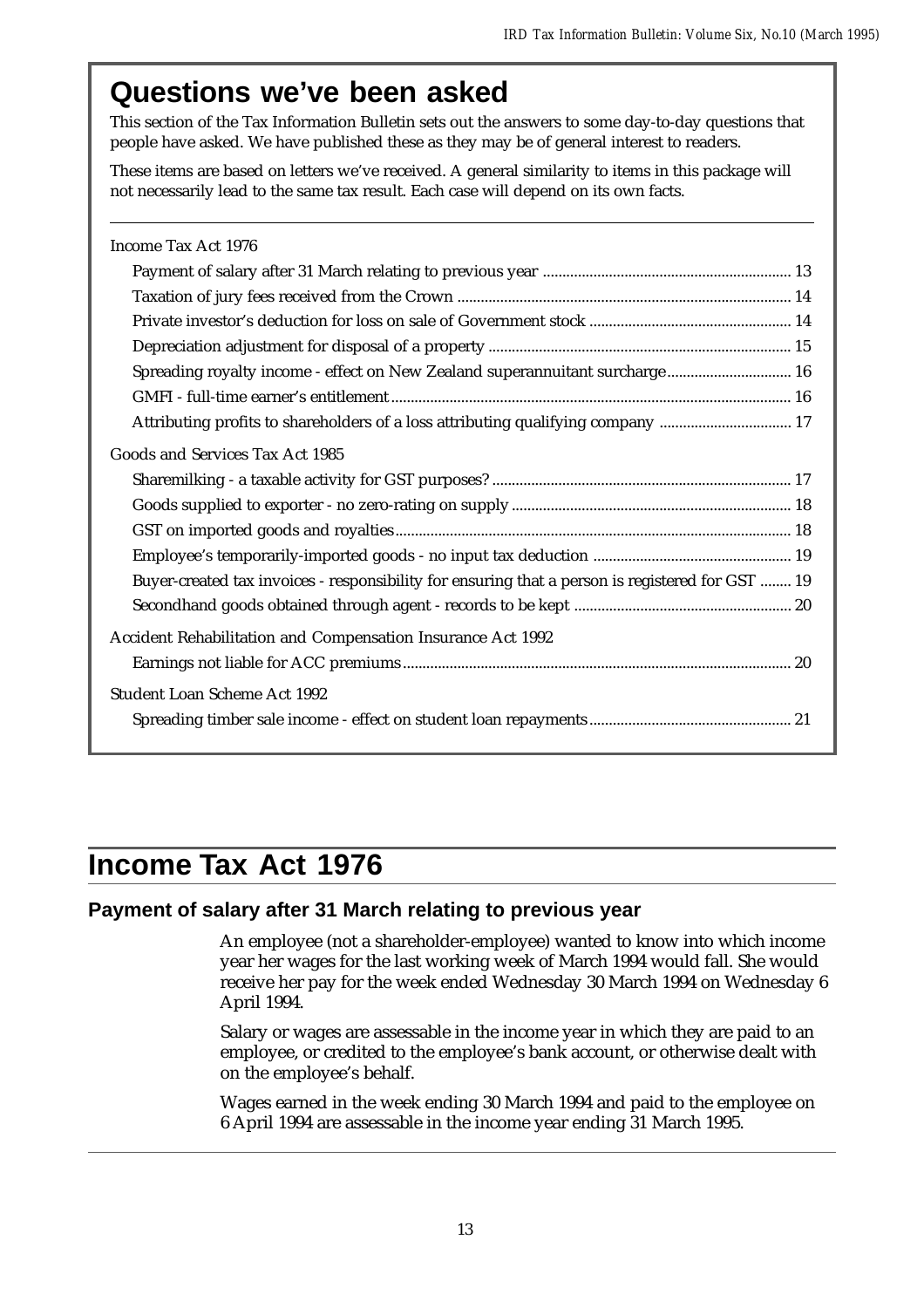# **Questions we've been asked**

This section of the Tax Information Bulletin sets out the answers to some day-to-day questions that people have asked. We have published these as they may be of general interest to readers.

These items are based on letters we've received. A general similarity to items in this package will not necessarily lead to the same tax result. Each case will depend on its own facts.

| Income Tax Act 1976                                                                              |
|--------------------------------------------------------------------------------------------------|
|                                                                                                  |
|                                                                                                  |
|                                                                                                  |
|                                                                                                  |
| Spreading royalty income - effect on New Zealand superannuitant surcharge 16                     |
|                                                                                                  |
| Attributing profits to shareholders of a loss attributing qualifying company  17                 |
| Goods and Services Tax Act 1985                                                                  |
|                                                                                                  |
|                                                                                                  |
|                                                                                                  |
|                                                                                                  |
| Buyer-created tax invoices - responsibility for ensuring that a person is registered for GST  19 |
|                                                                                                  |
| Accident Rehabilitation and Compensation Insurance Act 1992                                      |
|                                                                                                  |
| <b>Student Loan Scheme Act 1992</b>                                                              |
|                                                                                                  |
|                                                                                                  |

# **Income Tax Act 1976**

### **Payment of salary after 31 March relating to previous year**

An employee (not a shareholder-employee) wanted to know into which income year her wages for the last working week of March 1994 would fall. She would receive her pay for the week ended Wednesday 30 March 1994 on Wednesday 6 April 1994.

Salary or wages are assessable in the income year in which they are paid to an employee, or credited to the employee's bank account, or otherwise dealt with on the employee's behalf.

Wages earned in the week ending 30 March 1994 and paid to the employee on 6 April 1994 are assessable in the income year ending 31 March 1995.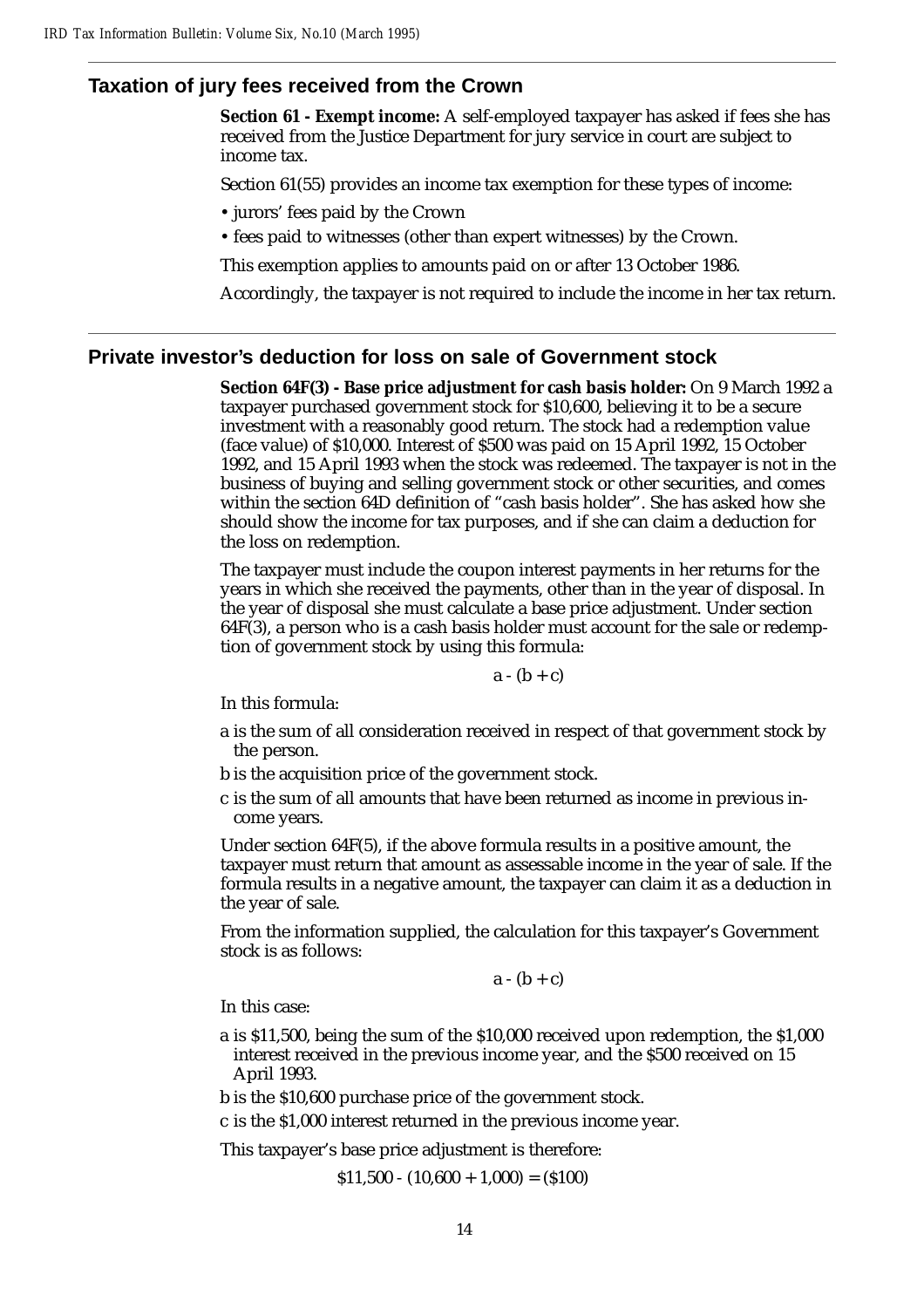#### **Taxation of jury fees received from the Crown**

**Section 61 - Exempt income:** A self-employed taxpayer has asked if fees she has received from the Justice Department for jury service in court are subject to income tax.

Section 61(55) provides an income tax exemption for these types of income:

• jurors' fees paid by the Crown

• fees paid to witnesses (other than expert witnesses) by the Crown.

This exemption applies to amounts paid on or after 13 October 1986.

Accordingly, the taxpayer is not required to include the income in her tax return.

#### **Private investor's deduction for loss on sale of Government stock**

**Section 64F(3) - Base price adjustment for cash basis holder:** On 9 March 1992 a taxpayer purchased government stock for \$10,600, believing it to be a secure investment with a reasonably good return. The stock had a redemption value (face value) of \$10,000. Interest of \$500 was paid on 15 April 1992, 15 October 1992, and 15 April 1993 when the stock was redeemed. The taxpayer is not in the business of buying and selling government stock or other securities, and comes within the section 64D definition of "cash basis holder". She has asked how she should show the income for tax purposes, and if she can claim a deduction for the loss on redemption.

The taxpayer must include the coupon interest payments in her returns for the years in which she received the payments, other than in the year of disposal. In the year of disposal she must calculate a base price adjustment. Under section 64F(3), a person who is a cash basis holder must account for the sale or redemption of government stock by using this formula:

 $a - (b + c)$ 

In this formula:

- a is the sum of all consideration received in respect of that government stock by the person.
- b is the acquisition price of the government stock.
- c is the sum of all amounts that have been returned as income in previous income years.

Under section 64F(5), if the above formula results in a positive amount, the taxpayer must return that amount as assessable income in the year of sale. If the formula results in a negative amount, the taxpayer can claim it as a deduction in the year of sale.

From the information supplied, the calculation for this taxpayer's Government stock is as follows:

$$
a - (b + c)
$$

In this case:

a is \$11,500, being the sum of the \$10,000 received upon redemption, the \$1,000 interest received in the previous income year, and the \$500 received on 15 April 1993.

b is the \$10,600 purchase price of the government stock.

c is the \$1,000 interest returned in the previous income year.

This taxpayer's base price adjustment is therefore:

 $$11,500 - (10,600 + 1,000) = ($100)$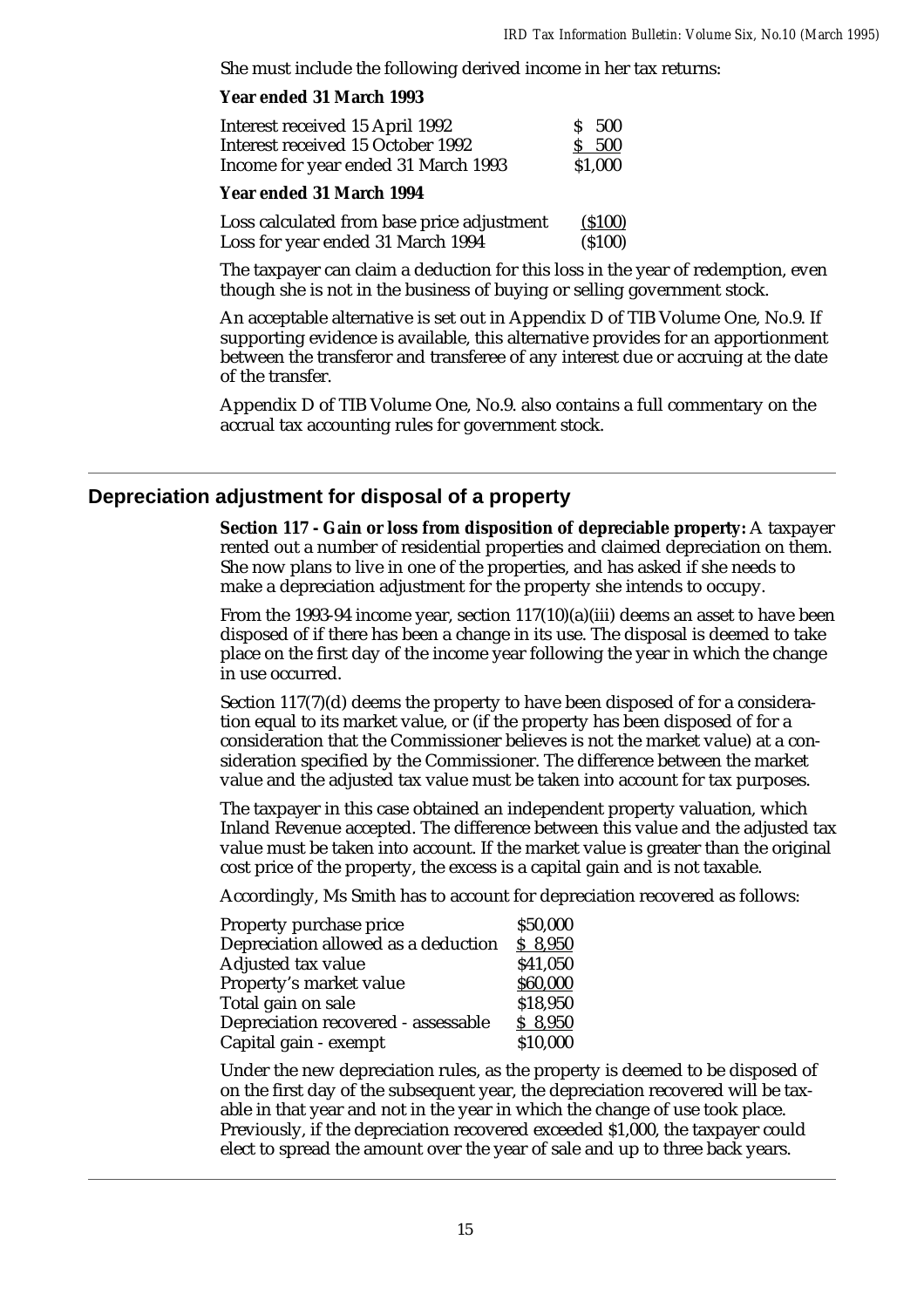She must include the following derived income in her tax returns:

#### **Year ended 31 March 1993**

| Interest received 15 April 1992     | \$ 500  |
|-------------------------------------|---------|
| Interest received 15 October 1992   | \$ 500  |
| Income for year ended 31 March 1993 | \$1,000 |

#### **Year ended 31 March 1994**

| Loss calculated from base price adjustment | (S100) |
|--------------------------------------------|--------|
| Loss for year ended 31 March 1994          | (S100) |

The taxpayer can claim a deduction for this loss in the year of redemption, even though she is not in the business of buying or selling government stock.

An acceptable alternative is set out in Appendix D of TIB Volume One, No.9. If supporting evidence is available, this alternative provides for an apportionment between the transferor and transferee of any interest due or accruing at the date of the transfer.

Appendix D of TIB Volume One, No.9. also contains a full commentary on the accrual tax accounting rules for government stock.

#### **Depreciation adjustment for disposal of a property**

**Section 117 - Gain or loss from disposition of depreciable property:** A taxpayer rented out a number of residential properties and claimed depreciation on them. She now plans to live in one of the properties, and has asked if she needs to make a depreciation adjustment for the property she intends to occupy.

From the 1993-94 income year, section  $117(10)(a)(iii)$  deems an asset to have been disposed of if there has been a change in its use. The disposal is deemed to take place on the first day of the income year following the year in which the change in use occurred.

Section 117(7)(d) deems the property to have been disposed of for a consideration equal to its market value, or (if the property has been disposed of for a consideration that the Commissioner believes is not the market value) at a consideration specified by the Commissioner. The difference between the market value and the adjusted tax value must be taken into account for tax purposes.

The taxpayer in this case obtained an independent property valuation, which Inland Revenue accepted. The difference between this value and the adjusted tax value must be taken into account. If the market value is greater than the original cost price of the property, the excess is a capital gain and is not taxable.

Accordingly, Ms Smith has to account for depreciation recovered as follows:

| Property purchase price             | \$50,000 |
|-------------------------------------|----------|
| Depreciation allowed as a deduction | \$8,950  |
| Adjusted tax value                  | \$41,050 |
| Property's market value             | \$60,000 |
| Total gain on sale                  | \$18,950 |
| Depreciation recovered - assessable | \$8,950  |
| Capital gain - exempt               | \$10,000 |

Under the new depreciation rules, as the property is deemed to be disposed of on the first day of the subsequent year, the depreciation recovered will be taxable in that year and not in the year in which the change of use took place. Previously, if the depreciation recovered exceeded \$1,000, the taxpayer could elect to spread the amount over the year of sale and up to three back years.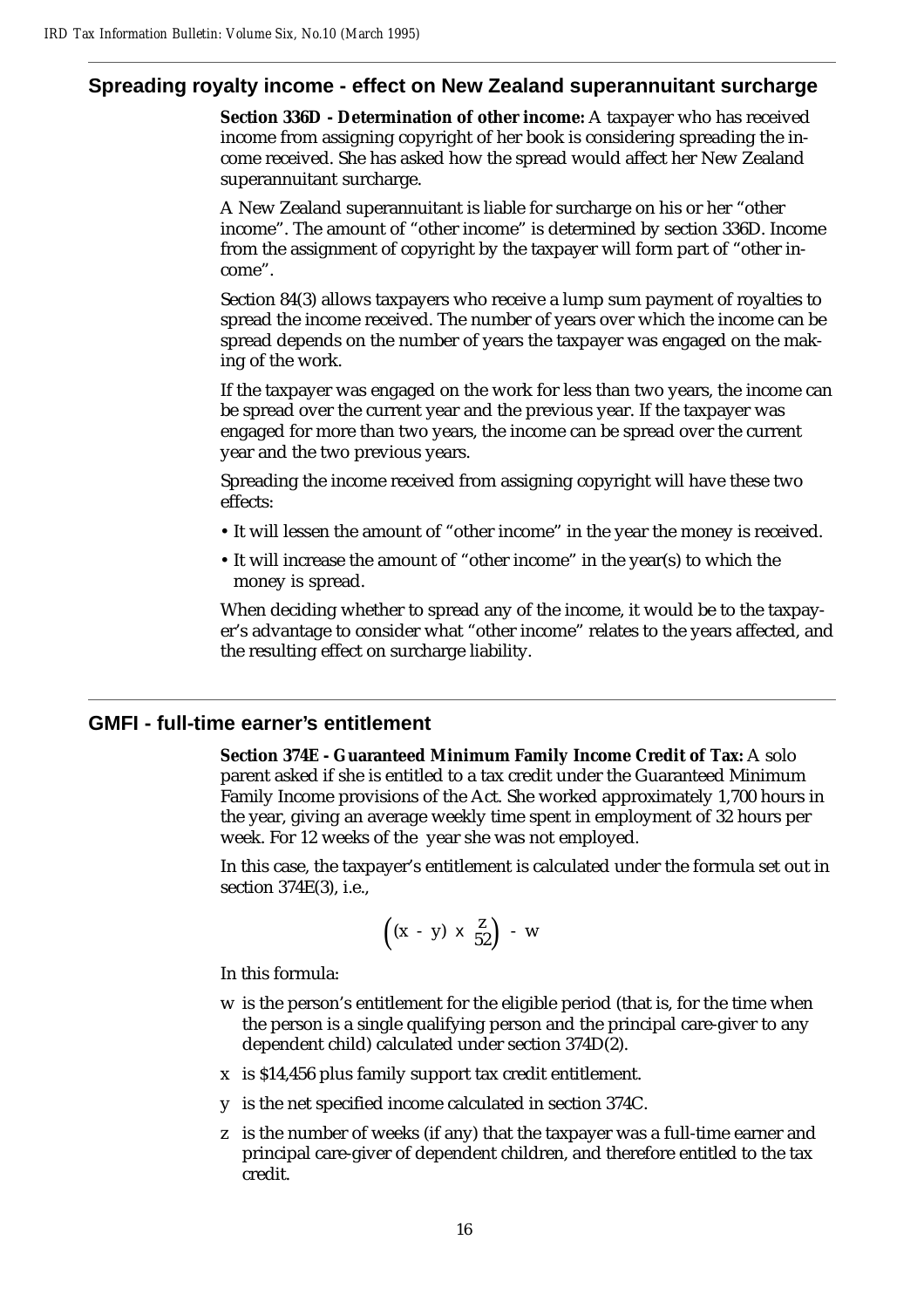#### **Spreading royalty income - effect on New Zealand superannuitant surcharge**

**Section 336D - Determination of other income:** A taxpayer who has received income from assigning copyright of her book is considering spreading the income received. She has asked how the spread would affect her New Zealand superannuitant surcharge.

A New Zealand superannuitant is liable for surcharge on his or her "other income". The amount of "other income" is determined by section 336D. Income from the assignment of copyright by the taxpayer will form part of "other income".

Section 84(3) allows taxpayers who receive a lump sum payment of royalties to spread the income received. The number of years over which the income can be spread depends on the number of years the taxpayer was engaged on the making of the work.

If the taxpayer was engaged on the work for less than two years, the income can be spread over the current year and the previous year. If the taxpayer was engaged for more than two years, the income can be spread over the current year and the two previous years.

Spreading the income received from assigning copyright will have these two effects:

- It will lessen the amount of "other income" in the year the money is received.
- It will increase the amount of "other income" in the year(s) to which the money is spread.

When deciding whether to spread any of the income, it would be to the taxpayer's advantage to consider what "other income" relates to the years affected, and the resulting effect on surcharge liability.

#### **GMFI - full-time earner's entitlement**

**Section 374E - Guaranteed Minimum Family Income Credit of Tax:** A solo parent asked if she is entitled to a tax credit under the Guaranteed Minimum Family Income provisions of the Act. She worked approximately 1,700 hours in the year, giving an average weekly time spent in employment of 32 hours per week. For 12 weeks of the year she was not employed.

In this case, the taxpayer's entitlement is calculated under the formula set out in section 374E(3), i.e.,

$$
\left((x - y) \times \frac{z}{52}\right) - w
$$

In this formula:

- w is the person's entitlement for the eligible period (that is, for the time when the person is a single qualifying person and the principal care-giver to any dependent child) calculated under section 374D(2).
- x is \$14,456 plus family support tax credit entitlement.
- y is the net specified income calculated in section 374C.
- z is the number of weeks (if any) that the taxpayer was a full-time earner and principal care-giver of dependent children, and therefore entitled to the tax credit.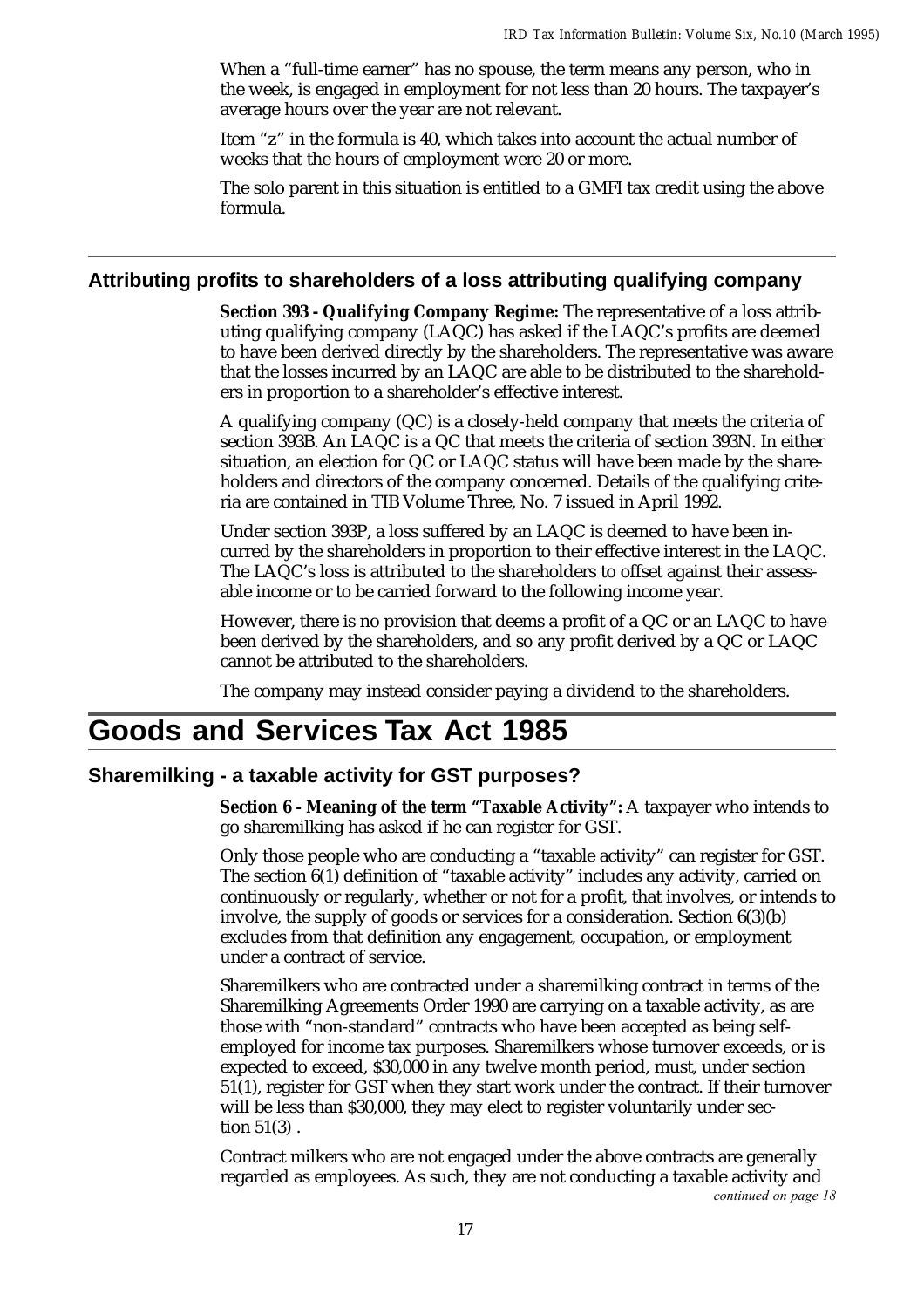When a "full-time earner" has no spouse, the term means any person, who in the week, is engaged in employment for not less than 20 hours. The taxpayer's average hours over the year are not relevant.

Item "z" in the formula is 40, which takes into account the actual number of weeks that the hours of employment were 20 or more.

The solo parent in this situation is entitled to a GMFI tax credit using the above formula.

#### **Attributing profits to shareholders of a loss attributing qualifying company**

**Section 393 - Qualifying Company Regime:** The representative of a loss attributing qualifying company (LAQC) has asked if the LAQC's profits are deemed to have been derived directly by the shareholders. The representative was aware that the losses incurred by an LAQC are able to be distributed to the shareholders in proportion to a shareholder's effective interest.

A qualifying company (QC) is a closely-held company that meets the criteria of section 393B. An LAQC is a QC that meets the criteria of section 393N. In either situation, an election for QC or LAQC status will have been made by the shareholders and directors of the company concerned. Details of the qualifying criteria are contained in TIB Volume Three, No. 7 issued in April 1992.

Under section 393P, a loss suffered by an LAQC is deemed to have been incurred by the shareholders in proportion to their effective interest in the LAQC. The LAQC's loss is attributed to the shareholders to offset against their assessable income or to be carried forward to the following income year.

However, there is no provision that deems a profit of a QC or an LAQC to have been derived by the shareholders, and so any profit derived by a QC or LAQC cannot be attributed to the shareholders.

The company may instead consider paying a dividend to the shareholders.

# **Goods and Services Tax Act 1985**

#### **Sharemilking - a taxable activity for GST purposes?**

**Section 6 - Meaning of the term "Taxable Activity":** A taxpayer who intends to go sharemilking has asked if he can register for GST.

Only those people who are conducting a "taxable activity" can register for GST. The section 6(1) definition of "taxable activity" includes any activity, carried on continuously or regularly, whether or not for a profit, that involves, or intends to involve, the supply of goods or services for a consideration. Section 6(3)(b) excludes from that definition any engagement, occupation, or employment under a contract of service.

Sharemilkers who are contracted under a sharemilking contract in terms of the Sharemilking Agreements Order 1990 are carrying on a taxable activity, as are those with "non-standard" contracts who have been accepted as being selfemployed for income tax purposes. Sharemilkers whose turnover exceeds, or is expected to exceed, \$30,000 in any twelve month period, must, under section 51(1), register for GST when they start work under the contract. If their turnover will be less than \$30,000, they may elect to register voluntarily under section 51(3) .

Contract milkers who are not engaged under the above contracts are generally regarded as employees. As such, they are not conducting a taxable activity and

continued on page 18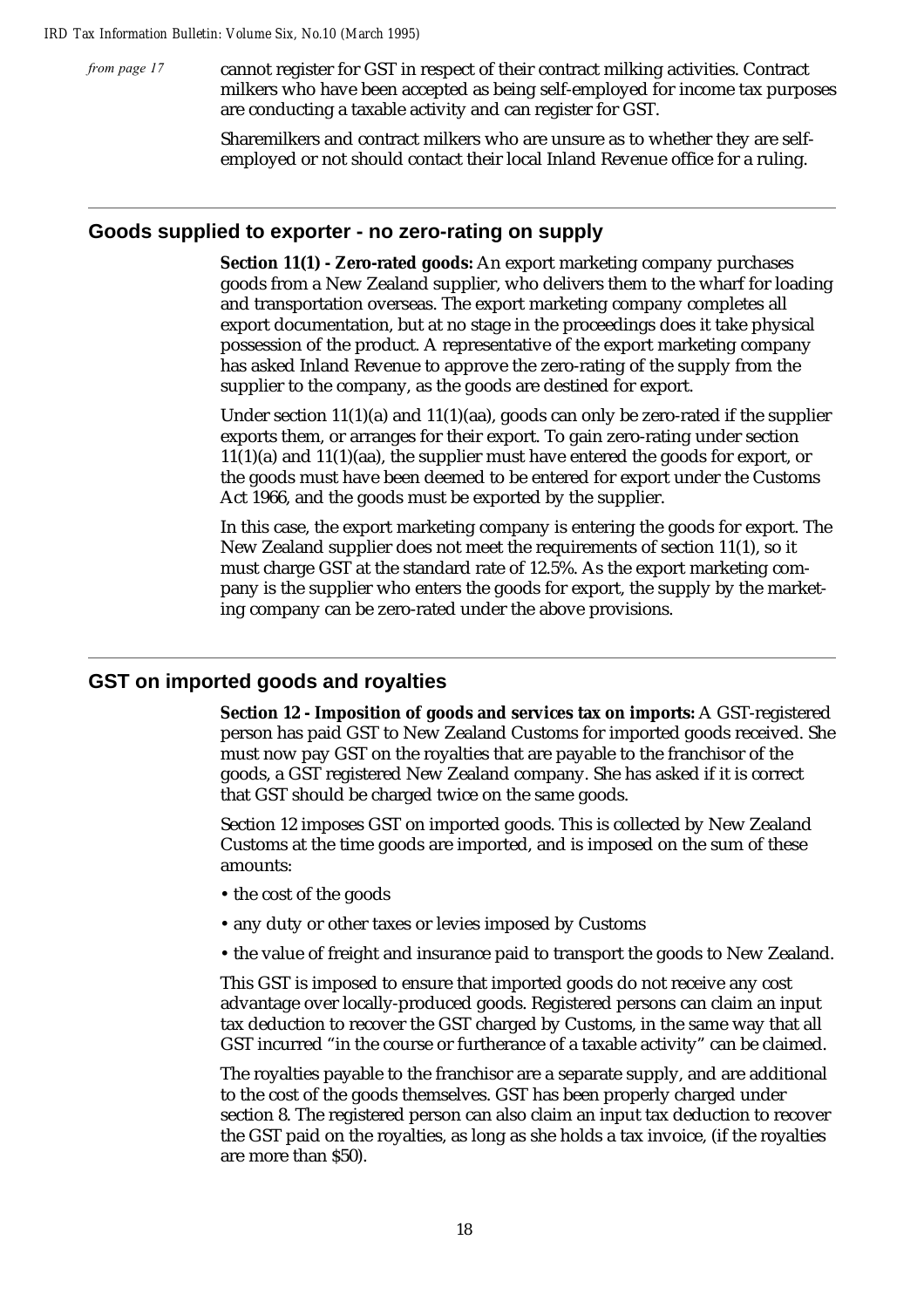cannot register for GST in respect of their contract milking activities. Contract milkers who have been accepted as being self-employed for income tax purposes are conducting a taxable activity and can register for GST. from page 17

> Sharemilkers and contract milkers who are unsure as to whether they are selfemployed or not should contact their local Inland Revenue office for a ruling.

#### **Goods supplied to exporter - no zero-rating on supply**

**Section 11(1) - Zero-rated goods:** An export marketing company purchases goods from a New Zealand supplier, who delivers them to the wharf for loading and transportation overseas. The export marketing company completes all export documentation, but at no stage in the proceedings does it take physical possession of the product. A representative of the export marketing company has asked Inland Revenue to approve the zero-rating of the supply from the supplier to the company, as the goods are destined for export.

Under section 11(1)(a) and 11(1)(aa), goods can only be zero-rated if the supplier exports them, or arranges for their export. To gain zero-rating under section  $11(1)(a)$  and  $11(1)(aa)$ , the supplier must have entered the goods for export, or the goods must have been deemed to be entered for export under the Customs Act 1966, and the goods must be exported by the supplier.

In this case, the export marketing company is entering the goods for export. The New Zealand supplier does not meet the requirements of section 11(1), so it must charge GST at the standard rate of 12.5%. As the export marketing company is the supplier who enters the goods for export, the supply by the marketing company can be zero-rated under the above provisions.

#### **GST on imported goods and royalties**

**Section 12 - Imposition of goods and services tax on imports:** A GST-registered person has paid GST to New Zealand Customs for imported goods received. She must now pay GST on the royalties that are payable to the franchisor of the goods, a GST registered New Zealand company. She has asked if it is correct that GST should be charged twice on the same goods.

Section 12 imposes GST on imported goods. This is collected by New Zealand Customs at the time goods are imported, and is imposed on the sum of these amounts:

- the cost of the goods
- any duty or other taxes or levies imposed by Customs
- the value of freight and insurance paid to transport the goods to New Zealand.

This GST is imposed to ensure that imported goods do not receive any cost advantage over locally-produced goods. Registered persons can claim an input tax deduction to recover the GST charged by Customs, in the same way that all GST incurred "in the course or furtherance of a taxable activity" can be claimed.

The royalties payable to the franchisor are a separate supply, and are additional to the cost of the goods themselves. GST has been properly charged under section 8. The registered person can also claim an input tax deduction to recover the GST paid on the royalties, as long as she holds a tax invoice, (if the royalties are more than \$50).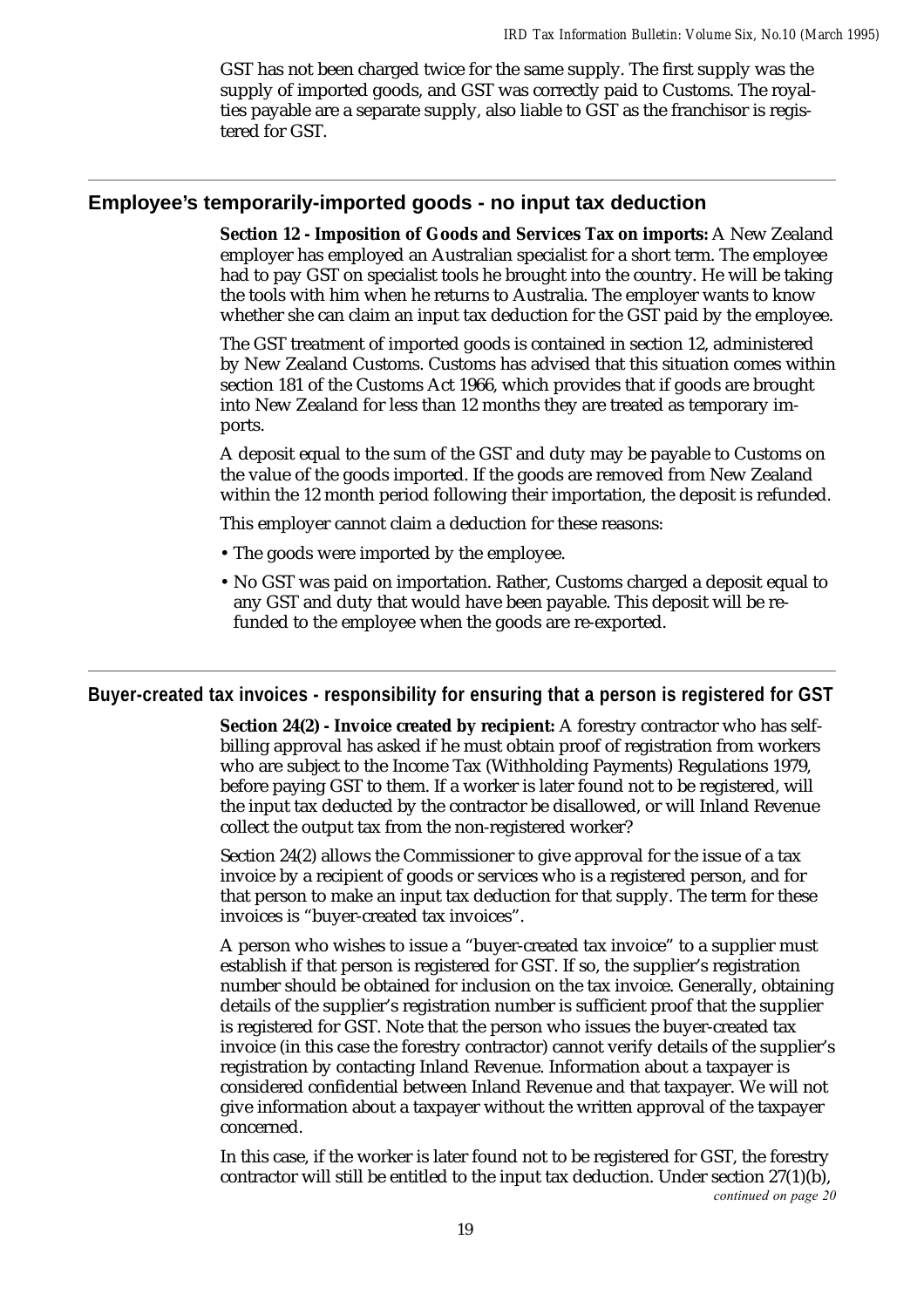GST has not been charged twice for the same supply. The first supply was the supply of imported goods, and GST was correctly paid to Customs. The royalties payable are a separate supply, also liable to GST as the franchisor is registered for GST.

#### **Employee's temporarily-imported goods - no input tax deduction**

**Section 12 - Imposition of Goods and Services Tax on imports:** A New Zealand employer has employed an Australian specialist for a short term. The employee had to pay GST on specialist tools he brought into the country. He will be taking the tools with him when he returns to Australia. The employer wants to know whether she can claim an input tax deduction for the GST paid by the employee.

The GST treatment of imported goods is contained in section 12, administered by New Zealand Customs. Customs has advised that this situation comes within section 181 of the Customs Act 1966, which provides that if goods are brought into New Zealand for less than 12 months they are treated as temporary imports.

A deposit equal to the sum of the GST and duty may be payable to Customs on the value of the goods imported. If the goods are removed from New Zealand within the 12 month period following their importation, the deposit is refunded.

This employer cannot claim a deduction for these reasons:

- The goods were imported by the employee.
- No GST was paid on importation. Rather, Customs charged a deposit equal to any GST and duty that would have been payable. This deposit will be refunded to the employee when the goods are re-exported.

#### **Buyer-created tax invoices - responsibility for ensuring that a person is registered for GST**

**Section 24(2) - Invoice created by recipient:** A forestry contractor who has selfbilling approval has asked if he must obtain proof of registration from workers who are subject to the Income Tax (Withholding Payments) Regulations 1979, before paying GST to them. If a worker is later found not to be registered, will the input tax deducted by the contractor be disallowed, or will Inland Revenue collect the output tax from the non-registered worker?

Section 24(2) allows the Commissioner to give approval for the issue of a tax invoice by a recipient of goods or services who is a registered person, and for that person to make an input tax deduction for that supply. The term for these invoices is "buyer-created tax invoices".

A person who wishes to issue a "buyer-created tax invoice" to a supplier must establish if that person is registered for GST. If so, the supplier's registration number should be obtained for inclusion on the tax invoice. Generally, obtaining details of the supplier's registration number is sufficient proof that the supplier is registered for GST. Note that the person who issues the buyer-created tax invoice (in this case the forestry contractor) cannot verify details of the supplier's registration by contacting Inland Revenue. Information about a taxpayer is considered confidential between Inland Revenue and that taxpayer. We will not give information about a taxpayer without the written approval of the taxpayer concerned.

In this case, if the worker is later found not to be registered for GST, the forestry contractor will still be entitled to the input tax deduction. Under section  $27(1)(b)$ ,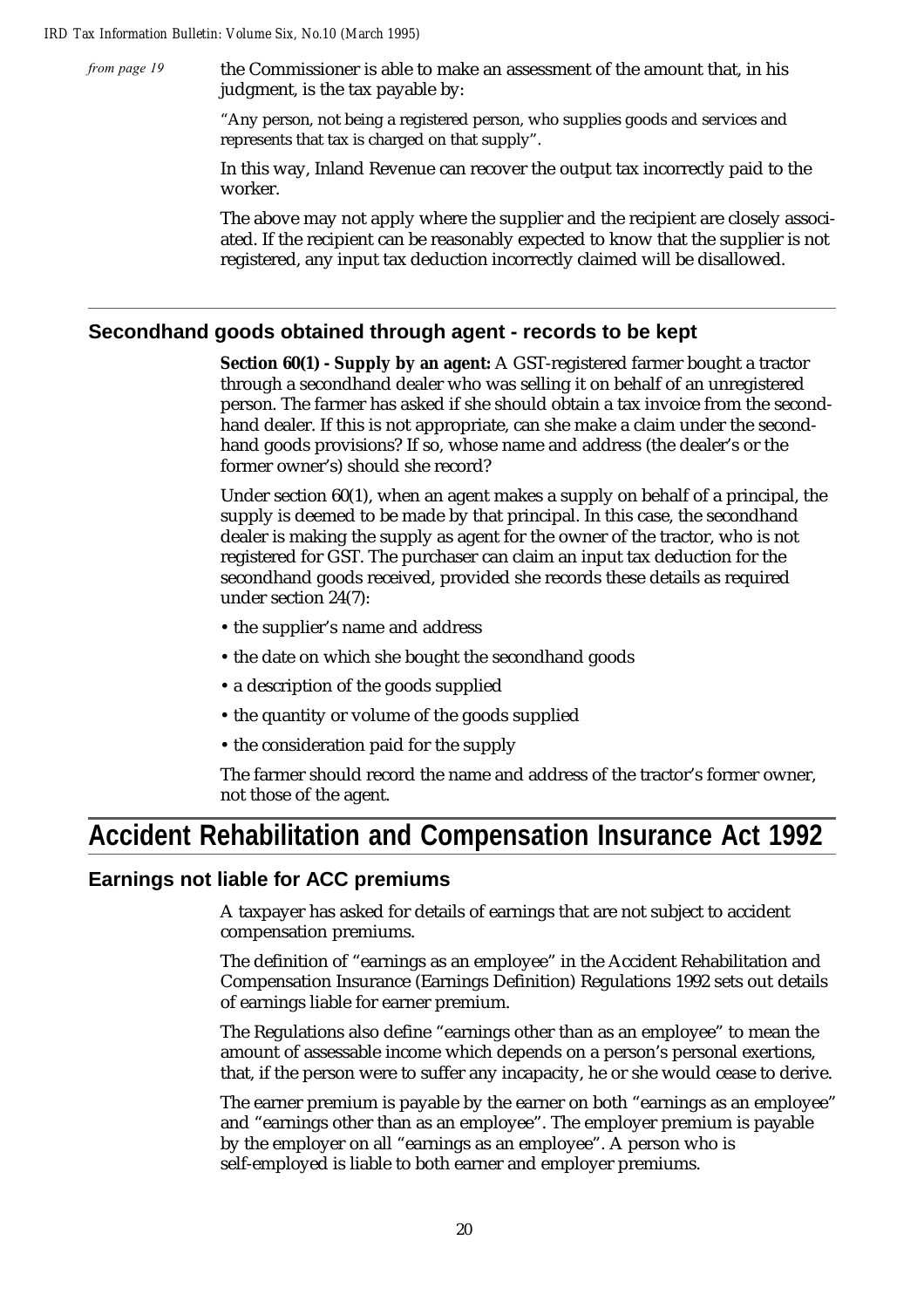from page 19

the Commissioner is able to make an assessment of the amount that, in his judgment, is the tax payable by:

"Any person, not being a registered person, who supplies goods and services and represents that tax is charged on that supply".

In this way, Inland Revenue can recover the output tax incorrectly paid to the worker.

The above may not apply where the supplier and the recipient are closely associated. If the recipient can be reasonably expected to know that the supplier is not registered, any input tax deduction incorrectly claimed will be disallowed.

#### **Secondhand goods obtained through agent - records to be kept**

**Section 60(1) - Supply by an agent:** A GST-registered farmer bought a tractor through a secondhand dealer who was selling it on behalf of an unregistered person. The farmer has asked if she should obtain a tax invoice from the secondhand dealer. If this is not appropriate, can she make a claim under the secondhand goods provisions? If so, whose name and address (the dealer's or the former owner's) should she record?

Under section 60(1), when an agent makes a supply on behalf of a principal, the supply is deemed to be made by that principal. In this case, the secondhand dealer is making the supply as agent for the owner of the tractor, who is not registered for GST. The purchaser can claim an input tax deduction for the secondhand goods received, provided she records these details as required under section 24(7):

- the supplier's name and address
- the date on which she bought the secondhand goods
- a description of the goods supplied
- the quantity or volume of the goods supplied
- the consideration paid for the supply

The farmer should record the name and address of the tractor's former owner, not those of the agent.

# **Accident Rehabilitation and Compensation Insurance Act 1992**

#### **Earnings not liable for ACC premiums**

A taxpayer has asked for details of earnings that are not subject to accident compensation premiums.

The definition of "earnings as an employee" in the Accident Rehabilitation and Compensation Insurance (Earnings Definition) Regulations 1992 sets out details of earnings liable for earner premium.

The Regulations also define "earnings other than as an employee" to mean the amount of assessable income which depends on a person's personal exertions, that, if the person were to suffer any incapacity, he or she would cease to derive.

The earner premium is payable by the earner on both "earnings as an employee" and "earnings other than as an employee". The employer premium is payable by the employer on all "earnings as an employee". A person who is self-employed is liable to both earner and employer premiums.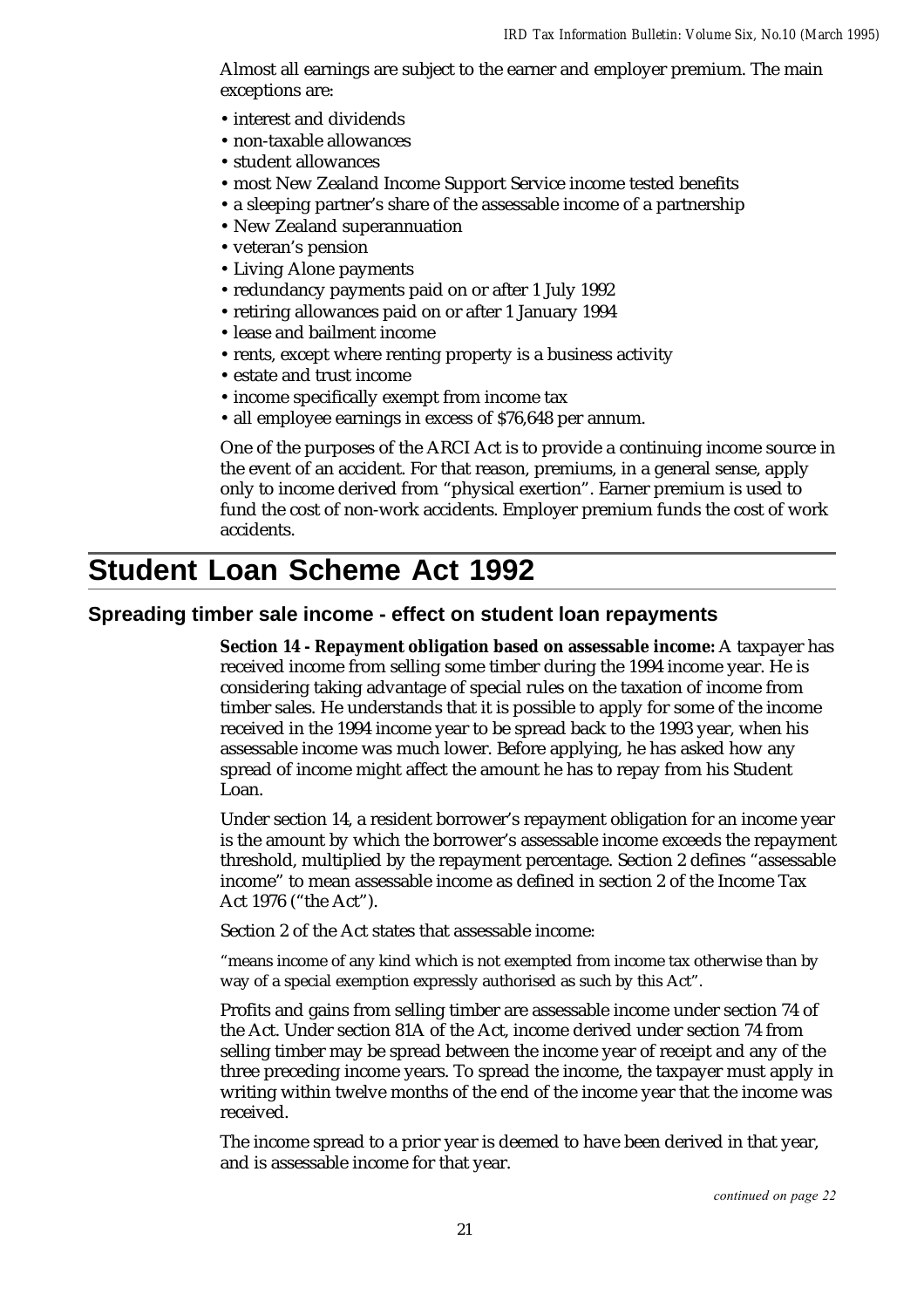Almost all earnings are subject to the earner and employer premium. The main exceptions are:

- interest and dividends
- non-taxable allowances
- student allowances
- most New Zealand Income Support Service income tested benefits
- a sleeping partner's share of the assessable income of a partnership
- New Zealand superannuation
- veteran's pension
- Living Alone payments
- redundancy payments paid on or after 1 July 1992
- retiring allowances paid on or after 1 January 1994
- lease and bailment income
- rents, except where renting property is a business activity
- estate and trust income
- income specifically exempt from income tax
- all employee earnings in excess of \$76,648 per annum.

One of the purposes of the ARCI Act is to provide a continuing income source in the event of an accident. For that reason, premiums, in a general sense, apply only to income derived from "physical exertion". Earner premium is used to fund the cost of non-work accidents. Employer premium funds the cost of work accidents.

# **Student Loan Scheme Act 1992**

#### **Spreading timber sale income - effect on student loan repayments**

**Section 14 - Repayment obligation based on assessable income:** A taxpayer has received income from selling some timber during the 1994 income year. He is considering taking advantage of special rules on the taxation of income from timber sales. He understands that it is possible to apply for some of the income received in the 1994 income year to be spread back to the 1993 year, when his assessable income was much lower. Before applying, he has asked how any spread of income might affect the amount he has to repay from his Student Loan.

Under section 14, a resident borrower's repayment obligation for an income year is the amount by which the borrower's assessable income exceeds the repayment threshold, multiplied by the repayment percentage. Section 2 defines "assessable income" to mean assessable income as defined in section 2 of the Income Tax Act 1976 ("the Act").

Section 2 of the Act states that assessable income:

"means income of any kind which is not exempted from income tax otherwise than by way of a special exemption expressly authorised as such by this Act".

Profits and gains from selling timber are assessable income under section 74 of the Act. Under section 81A of the Act, income derived under section 74 from selling timber may be spread between the income year of receipt and any of the three preceding income years. To spread the income, the taxpayer must apply in writing within twelve months of the end of the income year that the income was received.

The income spread to a prior year is deemed to have been derived in that year, and is assessable income for that year.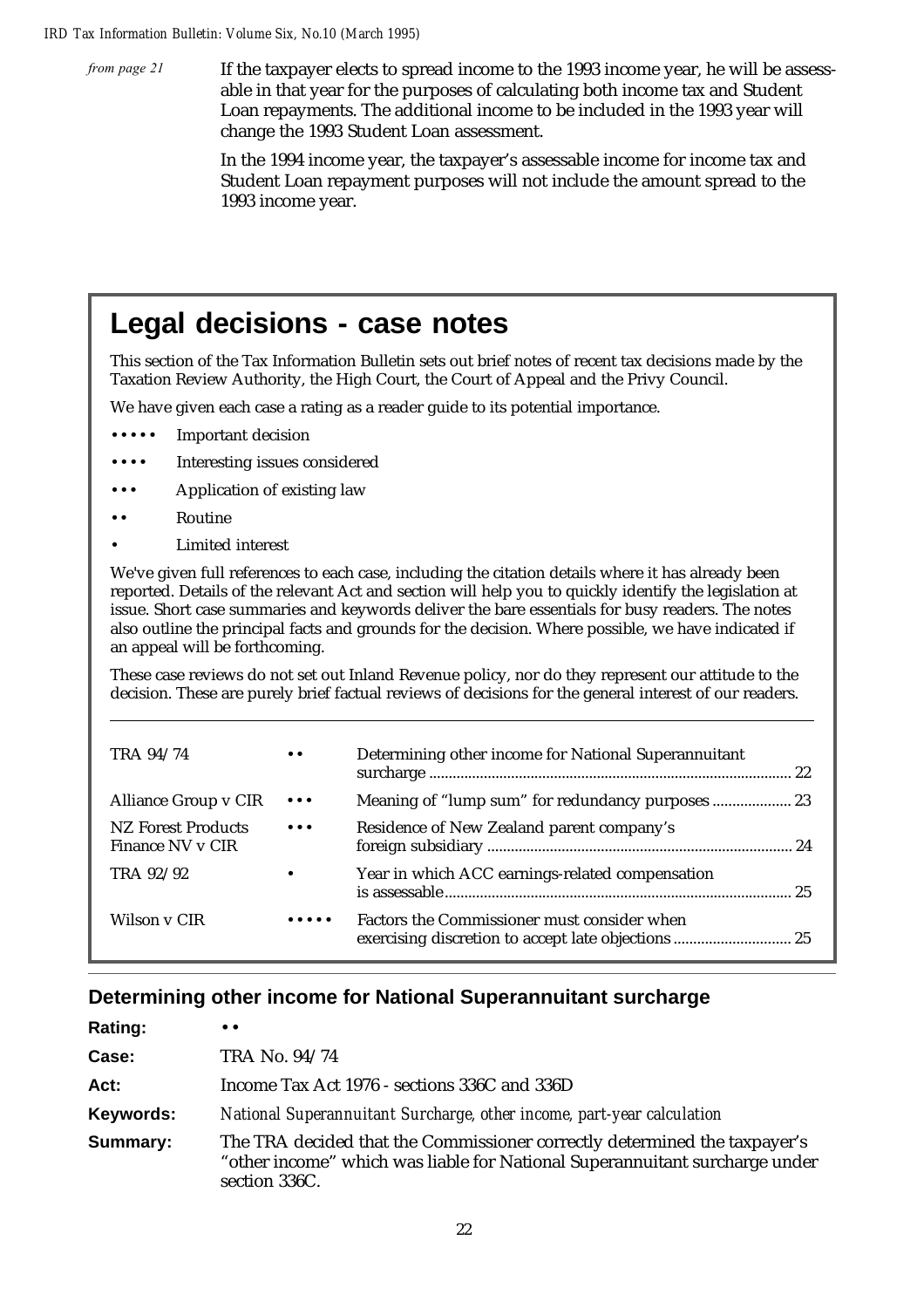from page 21

If the taxpayer elects to spread income to the 1993 income year, he will be assessable in that year for the purposes of calculating both income tax and Student Loan repayments. The additional income to be included in the 1993 year will change the 1993 Student Loan assessment.

In the 1994 income year, the taxpayer's assessable income for income tax and Student Loan repayment purposes will not include the amount spread to the 1993 income year.

# **Legal decisions - case notes**

This section of the Tax Information Bulletin sets out brief notes of recent tax decisions made by the Taxation Review Authority, the High Court, the Court of Appeal and the Privy Council.

We have given each case a rating as a reader guide to its potential importance.

- Important decision
- Interesting issues considered
- Application of existing law
- •• Routine
- Limited interest

We've given full references to each case, including the citation details where it has already been reported. Details of the relevant Act and section will help you to quickly identify the legislation at issue. Short case summaries and keywords deliver the bare essentials for busy readers. The notes also outline the principal facts and grounds for the decision. Where possible, we have indicated if an appeal will be forthcoming.

These case reviews do not set out Inland Revenue policy, nor do they represent our attitude to the decision. These are purely brief factual reviews of decisions for the general interest of our readers.

| TRA 94/74                              | $\bullet\;\bullet$                    | Determining other income for National Superannuitant |  |
|----------------------------------------|---------------------------------------|------------------------------------------------------|--|
| Alliance Group v CIR                   | $\bullet\bullet\bullet$               |                                                      |  |
| NZ Forest Products<br>Finance NV v CIR | $\bullet\bullet\bullet$               | Residence of New Zealand parent company's            |  |
| TRA 92/92                              | $\bullet$                             | Year in which ACC earnings-related compensation      |  |
| Wilson v CIR                           | $\bullet\bullet\bullet\bullet\bullet$ | Factors the Commissioner must consider when          |  |

#### **Determining other income for National Superannuitant surcharge**

| <b>Rating:</b> | $\bullet\bullet$                                                                                                                                                          |
|----------------|---------------------------------------------------------------------------------------------------------------------------------------------------------------------------|
| Case:          | TRA No. 94/74                                                                                                                                                             |
| Act:           | Income Tax Act 1976 - sections 336C and 336D                                                                                                                              |
| Keywords:      | National Superannuitant Surcharge, other income, part-year calculation                                                                                                    |
| Summary:       | The TRA decided that the Commissioner correctly determined the taxpayer's<br>"other income" which was liable for National Superannuitant surcharge under<br>section 336C. |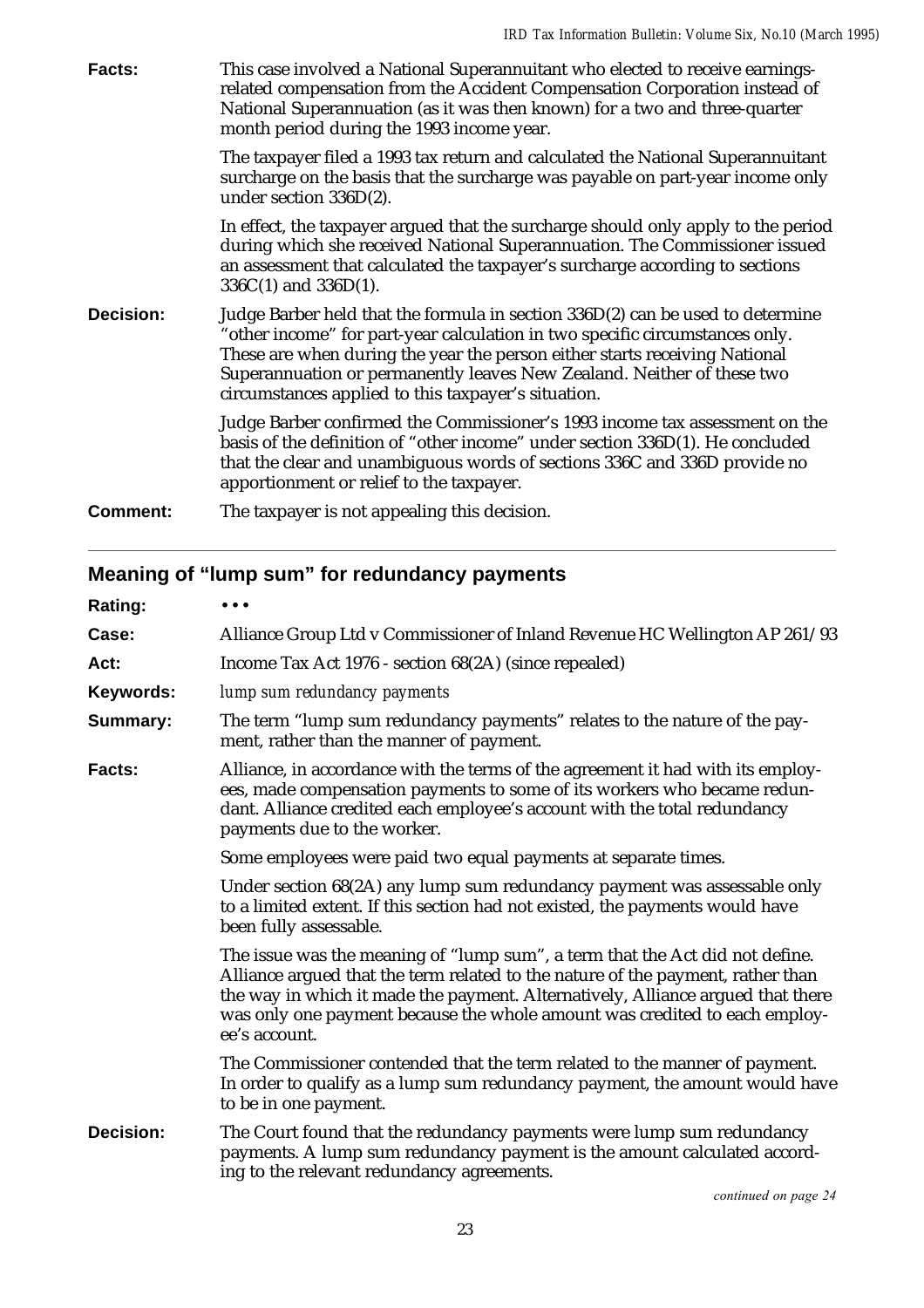| Facts:           | This case involved a National Superannuitant who elected to receive earnings-<br>related compensation from the Accident Compensation Corporation instead of<br>National Superannuation (as it was then known) for a two and three-quarter<br>month period during the 1993 income year.                                                                                        |
|------------------|-------------------------------------------------------------------------------------------------------------------------------------------------------------------------------------------------------------------------------------------------------------------------------------------------------------------------------------------------------------------------------|
|                  | The taxpayer filed a 1993 tax return and calculated the National Superannuitant<br>surcharge on the basis that the surcharge was payable on part-year income only<br>under section $336D(2)$ .                                                                                                                                                                                |
|                  | In effect, the taxpayer argued that the surcharge should only apply to the period<br>during which she received National Superannuation. The Commissioner issued<br>an assessment that calculated the taxpayer's surcharge according to sections<br>$336C(1)$ and $336D(1)$ .                                                                                                  |
| <b>Decision:</b> | Judge Barber held that the formula in section 336D(2) can be used to determine<br>"other income" for part-year calculation in two specific circumstances only.<br>These are when during the year the person either starts receiving National<br>Superannuation or permanently leaves New Zealand. Neither of these two<br>circumstances applied to this taxpayer's situation. |
|                  | Judge Barber confirmed the Commissioner's 1993 income tax assessment on the<br>basis of the definition of "other income" under section 336D(1). He concluded<br>that the clear and unambiguous words of sections 336C and 336D provide no<br>apportionment or relief to the taxpayer.                                                                                         |
| <b>Comment:</b>  | The taxpayer is not appealing this decision.                                                                                                                                                                                                                                                                                                                                  |
|                  |                                                                                                                                                                                                                                                                                                                                                                               |

# **Meaning of "lump sum" for redundancy payments**

| Rating:          | $\bullet\bullet\bullet$                                                                                                                                                                                                                                                                                                                           |
|------------------|---------------------------------------------------------------------------------------------------------------------------------------------------------------------------------------------------------------------------------------------------------------------------------------------------------------------------------------------------|
| Case:            | Alliance Group Ltd v Commissioner of Inland Revenue HC Wellington AP 261/93                                                                                                                                                                                                                                                                       |
| Act:             | Income Tax Act 1976 - section 68(2A) (since repealed)                                                                                                                                                                                                                                                                                             |
| Keywords:        | lump sum redundancy payments                                                                                                                                                                                                                                                                                                                      |
| Summary:         | The term "lump sum redundancy payments" relates to the nature of the pay-<br>ment, rather than the manner of payment.                                                                                                                                                                                                                             |
| <b>Facts:</b>    | Alliance, in accordance with the terms of the agreement it had with its employ-<br>ees, made compensation payments to some of its workers who became redun-<br>dant. Alliance credited each employee's account with the total redundancy<br>payments due to the worker.                                                                           |
|                  | Some employees were paid two equal payments at separate times.                                                                                                                                                                                                                                                                                    |
|                  | Under section 68(2A) any lump sum redundancy payment was assessable only<br>to a limited extent. If this section had not existed, the payments would have<br>been fully assessable.                                                                                                                                                               |
|                  | The issue was the meaning of "lump sum", a term that the Act did not define.<br>Alliance argued that the term related to the nature of the payment, rather than<br>the way in which it made the payment. Alternatively, Alliance argued that there<br>was only one payment because the whole amount was credited to each employ-<br>ee's account. |
|                  | The Commissioner contended that the term related to the manner of payment.<br>In order to qualify as a lump sum redundancy payment, the amount would have<br>to be in one payment.                                                                                                                                                                |
| <b>Decision:</b> | The Court found that the redundancy payments were lump sum redundancy<br>payments. A lump sum redundancy payment is the amount calculated accord-<br>ing to the relevant redundancy agreements.                                                                                                                                                   |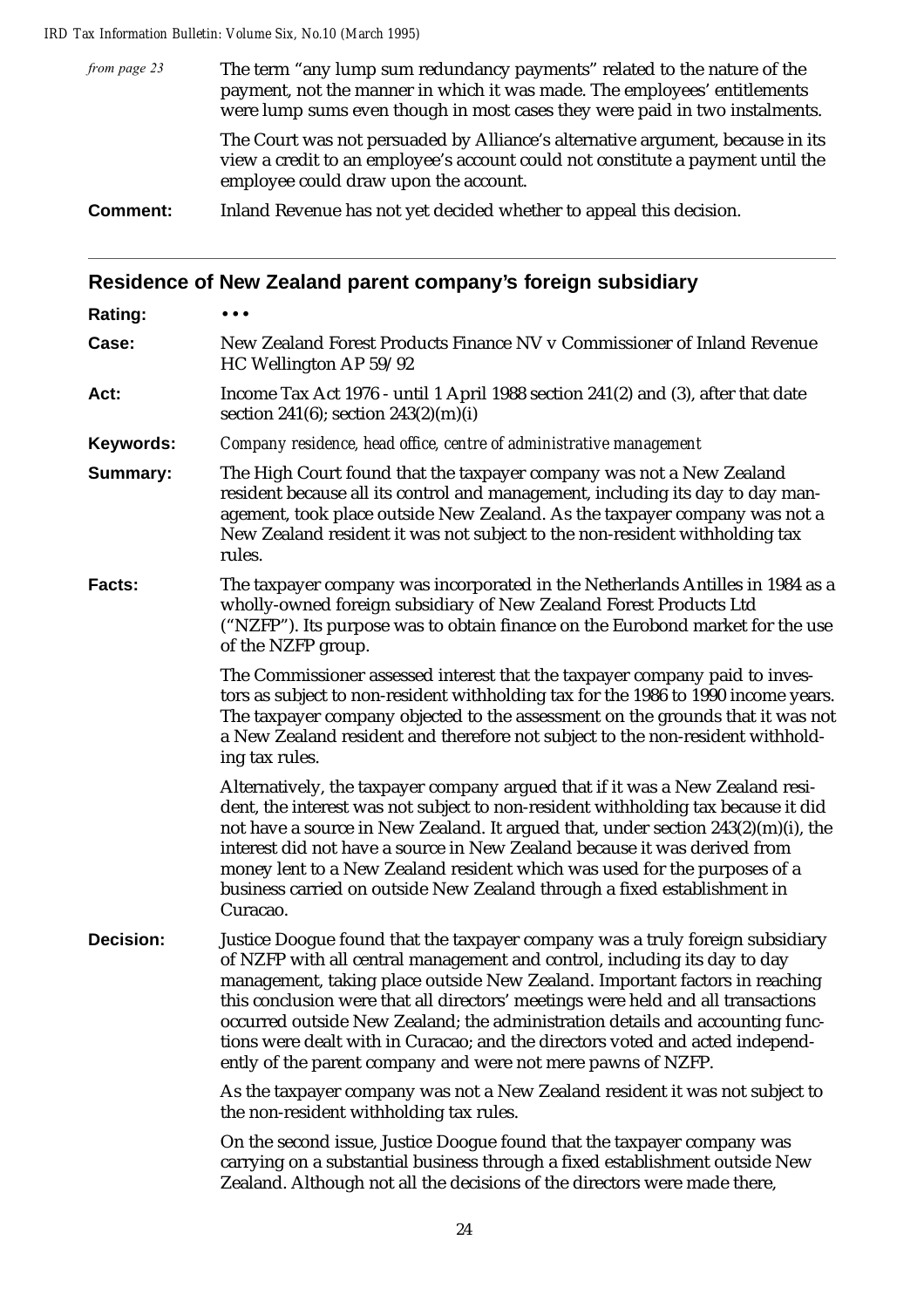*IRD Tax Information Bulletin: Volume Six, No.10 (March 1995)*

| from page 23    | The term "any lump sum redundancy payments" related to the nature of the<br>payment, not the manner in which it was made. The employees' entitlements<br>were lump sums even though in most cases they were paid in two instalments. |
|-----------------|--------------------------------------------------------------------------------------------------------------------------------------------------------------------------------------------------------------------------------------|
|                 | The Court was not persuaded by Alliance's alternative argument, because in its<br>view a credit to an employee's account could not constitute a payment until the<br>employee could draw upon the account.                           |
| <b>Comment:</b> | Inland Revenue has not yet decided whether to appeal this decision.                                                                                                                                                                  |

### **Residence of New Zealand parent company's foreign subsidiary**

| <b>Rating:</b>   |                                                                                                                                                                                                                                                                                                                                                                                                                                                                                                                                                                 |
|------------------|-----------------------------------------------------------------------------------------------------------------------------------------------------------------------------------------------------------------------------------------------------------------------------------------------------------------------------------------------------------------------------------------------------------------------------------------------------------------------------------------------------------------------------------------------------------------|
| Case:            | New Zealand Forest Products Finance NV v Commissioner of Inland Revenue<br>HC Wellington AP 59/92                                                                                                                                                                                                                                                                                                                                                                                                                                                               |
| Act:             | Income Tax Act 1976 - until 1 April 1988 section 241(2) and (3), after that date<br>section 241(6); section $243(2)(m)(i)$                                                                                                                                                                                                                                                                                                                                                                                                                                      |
| Keywords:        | Company residence, head office, centre of administrative management                                                                                                                                                                                                                                                                                                                                                                                                                                                                                             |
| <b>Summary:</b>  | The High Court found that the taxpayer company was not a New Zealand<br>resident because all its control and management, including its day to day man-<br>agement, took place outside New Zealand. As the taxpayer company was not a<br>New Zealand resident it was not subject to the non-resident withholding tax<br>rules.                                                                                                                                                                                                                                   |
| Facts:           | The taxpayer company was incorporated in the Netherlands Antilles in 1984 as a<br>wholly-owned foreign subsidiary of New Zealand Forest Products Ltd<br>("NZFP"). Its purpose was to obtain finance on the Eurobond market for the use<br>of the NZFP group.                                                                                                                                                                                                                                                                                                    |
|                  | The Commissioner assessed interest that the taxpayer company paid to inves-<br>tors as subject to non-resident withholding tax for the 1986 to 1990 income years.<br>The taxpayer company objected to the assessment on the grounds that it was not<br>a New Zealand resident and therefore not subject to the non-resident withhold-<br>ing tax rules.                                                                                                                                                                                                         |
|                  | Alternatively, the taxpayer company argued that if it was a New Zealand resi-<br>dent, the interest was not subject to non-resident withholding tax because it did<br>not have a source in New Zealand. It argued that, under section $243(2)(m)(i)$ , the<br>interest did not have a source in New Zealand because it was derived from<br>money lent to a New Zealand resident which was used for the purposes of a<br>business carried on outside New Zealand through a fixed establishment in<br>Curacao.                                                    |
| <b>Decision:</b> | Justice Doogue found that the taxpayer company was a truly foreign subsidiary<br>of NZFP with all central management and control, including its day to day<br>management, taking place outside New Zealand. Important factors in reaching<br>this conclusion were that all directors' meetings were held and all transactions<br>occurred outside New Zealand; the administration details and accounting func-<br>tions were dealt with in Curacao; and the directors voted and acted independ-<br>ently of the parent company and were not mere pawns of NZFP. |
|                  | As the taxpayer company was not a New Zealand resident it was not subject to<br>the non-resident withholding tax rules.                                                                                                                                                                                                                                                                                                                                                                                                                                         |
|                  | On the second issue, Justice Doogue found that the taxpayer company was<br>carrying on a substantial business through a fixed establishment outside New<br>Zealand. Although not all the decisions of the directors were made there,                                                                                                                                                                                                                                                                                                                            |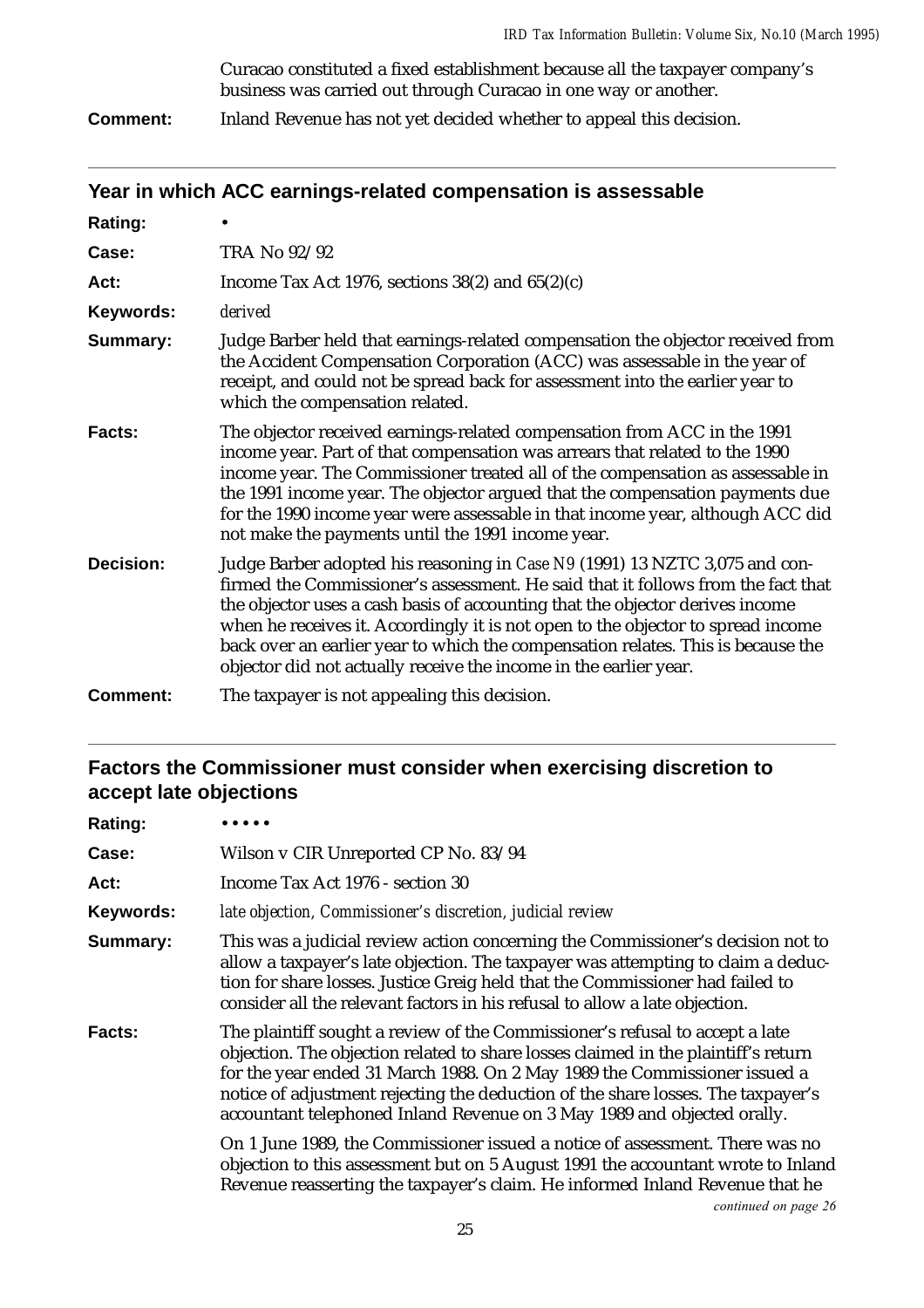#### Curacao constituted a fixed establishment because all the taxpayer company's business was carried out through Curacao in one way or another.

### **Comment:** Inland Revenue has not yet decided whether to appeal this decision.

### **Year in which ACC earnings-related compensation is assessable**

| Rating:          |                                                                                                                                                                                                                                                                                                                                                                                                                                                                                               |  |  |  |
|------------------|-----------------------------------------------------------------------------------------------------------------------------------------------------------------------------------------------------------------------------------------------------------------------------------------------------------------------------------------------------------------------------------------------------------------------------------------------------------------------------------------------|--|--|--|
| Case:            | TRA No 92/92                                                                                                                                                                                                                                                                                                                                                                                                                                                                                  |  |  |  |
| Act:             | Income Tax Act 1976, sections $38(2)$ and $65(2)(c)$                                                                                                                                                                                                                                                                                                                                                                                                                                          |  |  |  |
| Keywords:        | derived                                                                                                                                                                                                                                                                                                                                                                                                                                                                                       |  |  |  |
| Summary:         | Judge Barber held that earnings-related compensation the objector received from<br>the Accident Compensation Corporation (ACC) was assessable in the year of<br>receipt, and could not be spread back for assessment into the earlier year to<br>which the compensation related.                                                                                                                                                                                                              |  |  |  |
| Facts:           | The objector received earnings-related compensation from ACC in the 1991<br>income year. Part of that compensation was arrears that related to the 1990<br>income year. The Commissioner treated all of the compensation as assessable in<br>the 1991 income year. The objector argued that the compensation payments due<br>for the 1990 income year were assessable in that income year, although ACC did<br>not make the payments until the 1991 income year.                              |  |  |  |
| <b>Decision:</b> | Judge Barber adopted his reasoning in Case N9 (1991) 13 NZTC 3,075 and con-<br>firmed the Commissioner's assessment. He said that it follows from the fact that<br>the objector uses a cash basis of accounting that the objector derives income<br>when he receives it. Accordingly it is not open to the objector to spread income<br>back over an earlier year to which the compensation relates. This is because the<br>objector did not actually receive the income in the earlier year. |  |  |  |
| <b>Comment:</b>  | The taxpayer is not appealing this decision.                                                                                                                                                                                                                                                                                                                                                                                                                                                  |  |  |  |

# **Factors the Commissioner must consider when exercising discretion to accept late objections**

| Rating:          |                                                                                                                                                                                                                                                                                                                                                                                                                |  |  |  |  |
|------------------|----------------------------------------------------------------------------------------------------------------------------------------------------------------------------------------------------------------------------------------------------------------------------------------------------------------------------------------------------------------------------------------------------------------|--|--|--|--|
| Case:            | Wilson v CIR Unreported CP No. 83/94                                                                                                                                                                                                                                                                                                                                                                           |  |  |  |  |
| Act:             | Income Tax Act 1976 - section 30                                                                                                                                                                                                                                                                                                                                                                               |  |  |  |  |
| <b>Keywords:</b> | late objection, Commissioner's discretion, judicial review                                                                                                                                                                                                                                                                                                                                                     |  |  |  |  |
| Summary:         | This was a judicial review action concerning the Commissioner's decision not to<br>allow a taxpayer's late objection. The taxpayer was attempting to claim a deduc-<br>tion for share losses. Justice Greig held that the Commissioner had failed to<br>consider all the relevant factors in his refusal to allow a late objection.                                                                            |  |  |  |  |
| <b>Facts:</b>    | The plaintiff sought a review of the Commissioner's refusal to accept a late<br>objection. The objection related to share losses claimed in the plaintiff's return<br>for the year ended 31 March 1988. On 2 May 1989 the Commissioner issued a<br>notice of adjustment rejecting the deduction of the share losses. The taxpayer's<br>accountant telephoned Inland Revenue on 3 May 1989 and objected orally. |  |  |  |  |
|                  | On 1 June 1989, the Commissioner issued a notice of assessment. There was no<br>objection to this assessment but on 5 August 1991 the accountant wrote to Inland<br>Revenue reasserting the taxpayer's claim. He informed Inland Revenue that he<br>continued on page 26                                                                                                                                       |  |  |  |  |
|                  |                                                                                                                                                                                                                                                                                                                                                                                                                |  |  |  |  |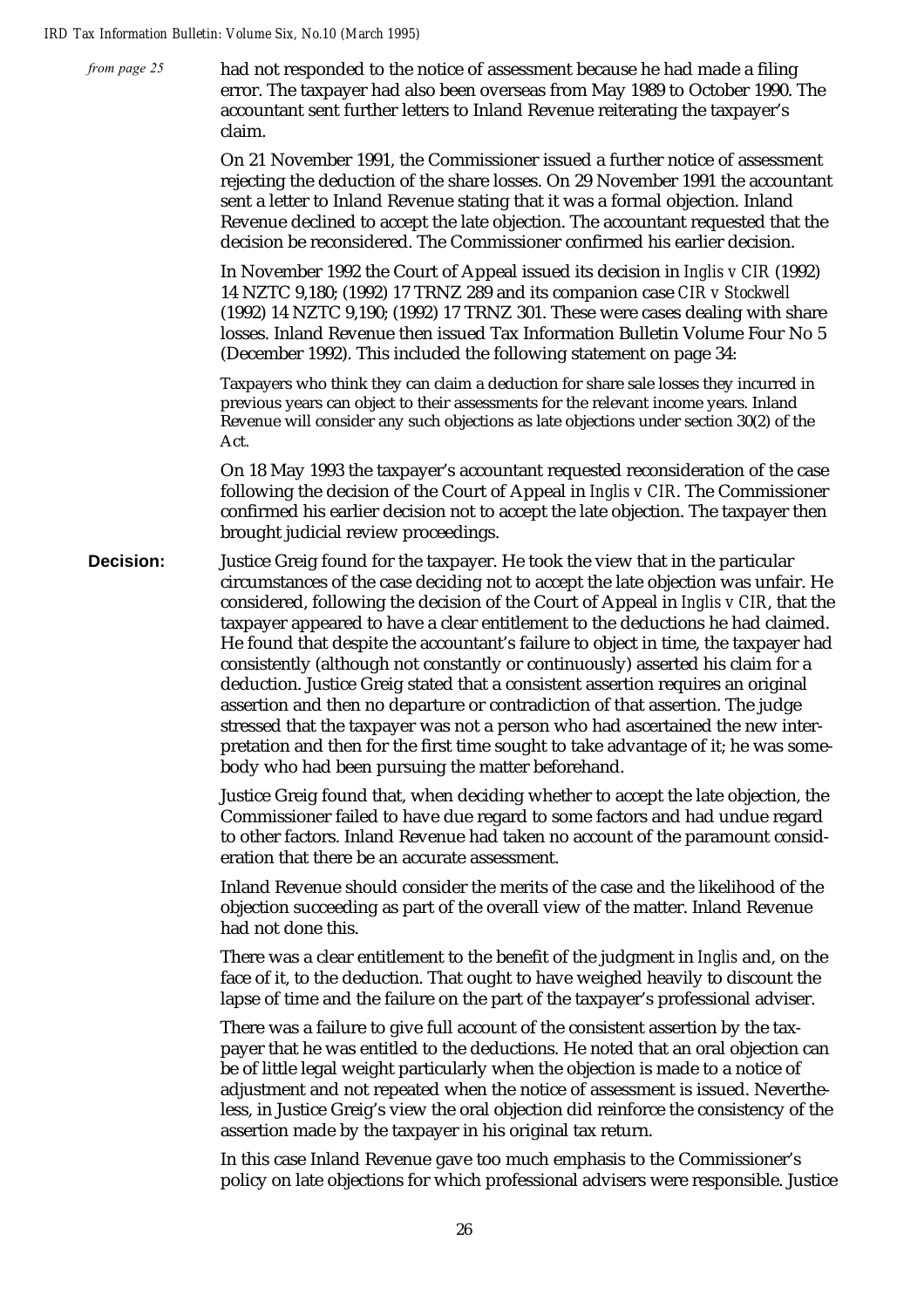|  | from page 25     | had not responded to the notice of assessment because he had made a filing<br>error. The taxpayer had also been overseas from May 1989 to October 1990. The<br>accountant sent further letters to Inland Revenue reiterating the taxpayer's<br>claim.                                                                                                                                                                                                                                                                                                                                                                                                                                                                                                                                                                                                                                                                    |
|--|------------------|--------------------------------------------------------------------------------------------------------------------------------------------------------------------------------------------------------------------------------------------------------------------------------------------------------------------------------------------------------------------------------------------------------------------------------------------------------------------------------------------------------------------------------------------------------------------------------------------------------------------------------------------------------------------------------------------------------------------------------------------------------------------------------------------------------------------------------------------------------------------------------------------------------------------------|
|  |                  | On 21 November 1991, the Commissioner issued a further notice of assessment<br>rejecting the deduction of the share losses. On 29 November 1991 the accountant<br>sent a letter to Inland Revenue stating that it was a formal objection. Inland<br>Revenue declined to accept the late objection. The accountant requested that the<br>decision be reconsidered. The Commissioner confirmed his earlier decision.                                                                                                                                                                                                                                                                                                                                                                                                                                                                                                       |
|  |                  | In November 1992 the Court of Appeal issued its decision in Inglis v CIR (1992)<br>14 NZTC 9,180; (1992) 17 TRNZ 289 and its companion case CIR v Stockwell<br>(1992) 14 NZTC 9,190; (1992) 17 TRNZ 301. These were cases dealing with share<br>losses. Inland Revenue then issued Tax Information Bulletin Volume Four No 5<br>(December 1992). This included the following statement on page 34:                                                                                                                                                                                                                                                                                                                                                                                                                                                                                                                       |
|  |                  | Taxpayers who think they can claim a deduction for share sale losses they incurred in<br>previous years can object to their assessments for the relevant income years. Inland<br>Revenue will consider any such objections as late objections under section 30(2) of the<br>Act.                                                                                                                                                                                                                                                                                                                                                                                                                                                                                                                                                                                                                                         |
|  |                  | On 18 May 1993 the taxpayer's accountant requested reconsideration of the case<br>following the decision of the Court of Appeal in Inglis v CIR. The Commissioner<br>confirmed his earlier decision not to accept the late objection. The taxpayer then<br>brought judicial review proceedings.                                                                                                                                                                                                                                                                                                                                                                                                                                                                                                                                                                                                                          |
|  | <b>Decision:</b> | Justice Greig found for the taxpayer. He took the view that in the particular<br>circumstances of the case deciding not to accept the late objection was unfair. He<br>considered, following the decision of the Court of Appeal in Inglis v CIR, that the<br>taxpayer appeared to have a clear entitlement to the deductions he had claimed.<br>He found that despite the accountant's failure to object in time, the taxpayer had<br>consistently (although not constantly or continuously) asserted his claim for a<br>deduction. Justice Greig stated that a consistent assertion requires an original<br>assertion and then no departure or contradiction of that assertion. The judge<br>stressed that the taxpayer was not a person who had ascertained the new inter-<br>pretation and then for the first time sought to take advantage of it; he was some-<br>body who had been pursuing the matter beforehand. |
|  |                  | Justice Greig found that, when deciding whether to accept the late objection, the<br>Commissioner failed to have due regard to some factors and had undue regard<br>to other factors. Inland Revenue had taken no account of the paramount consid-<br>eration that there be an accurate assessment.                                                                                                                                                                                                                                                                                                                                                                                                                                                                                                                                                                                                                      |
|  |                  | Inland Revenue should consider the merits of the case and the likelihood of the<br>objection succeeding as part of the overall view of the matter. Inland Revenue<br>had not done this.                                                                                                                                                                                                                                                                                                                                                                                                                                                                                                                                                                                                                                                                                                                                  |
|  |                  | There was a clear entitlement to the benefit of the judgment in <i>Inglis</i> and, on the<br>face of it, to the deduction. That ought to have weighed heavily to discount the<br>lapse of time and the failure on the part of the taxpayer's professional adviser.                                                                                                                                                                                                                                                                                                                                                                                                                                                                                                                                                                                                                                                       |
|  |                  | There was a failure to give full account of the consistent assertion by the tax-<br>payer that he was entitled to the deductions. He noted that an oral objection can<br>be of little legal weight particularly when the objection is made to a notice of<br>adjustment and not repeated when the notice of assessment is issued. Neverthe-<br>less, in Justice Greig's view the oral objection did reinforce the consistency of the<br>assertion made by the taxpayer in his original tax return.                                                                                                                                                                                                                                                                                                                                                                                                                       |
|  |                  | In this case Inland Revenue gave too much emphasis to the Commissioner's<br>policy on late objections for which professional advisers were responsible. Justice                                                                                                                                                                                                                                                                                                                                                                                                                                                                                                                                                                                                                                                                                                                                                          |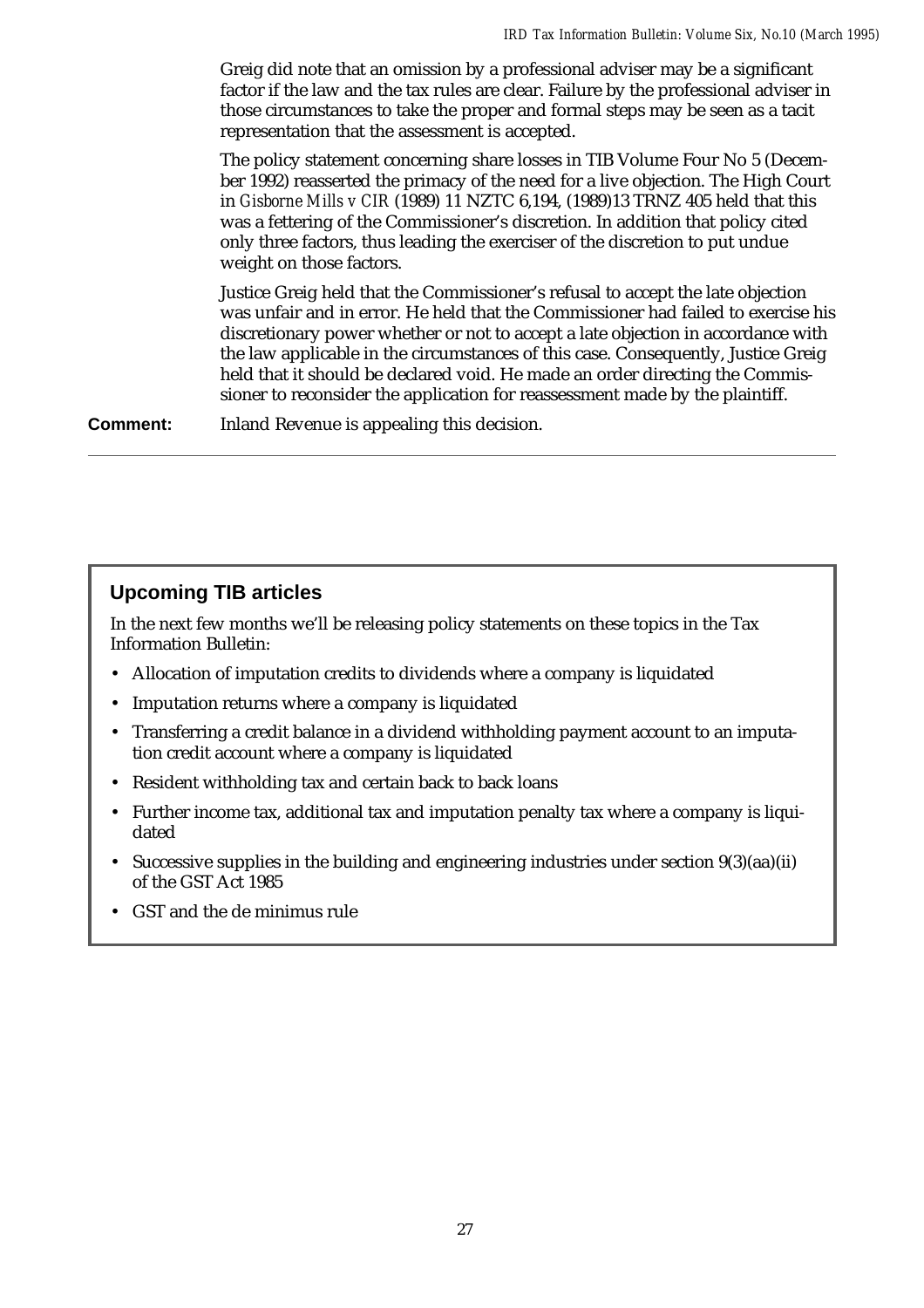Greig did note that an omission by a professional adviser may be a significant factor if the law and the tax rules are clear. Failure by the professional adviser in those circumstances to take the proper and formal steps may be seen as a tacit representation that the assessment is accepted.

The policy statement concerning share losses in TIB Volume Four No 5 (December 1992) reasserted the primacy of the need for a live objection. The High Court in *Gisborne Mills v CIR* (1989) 11 NZTC 6,194, (1989)13 TRNZ 405 held that this was a fettering of the Commissioner's discretion. In addition that policy cited only three factors, thus leading the exerciser of the discretion to put undue weight on those factors.

Justice Greig held that the Commissioner's refusal to accept the late objection was unfair and in error. He held that the Commissioner had failed to exercise his discretionary power whether or not to accept a late objection in accordance with the law applicable in the circumstances of this case. Consequently, Justice Greig held that it should be declared void. He made an order directing the Commissioner to reconsider the application for reassessment made by the plaintiff.

**Comment:** Inland Revenue is appealing this decision.

### **Upcoming TIB articles**

In the next few months we'll be releasing policy statements on these topics in the Tax Information Bulletin:

- Allocation of imputation credits to dividends where a company is liquidated
- Imputation returns where a company is liquidated
- Transferring a credit balance in a dividend withholding payment account to an imputation credit account where a company is liquidated
- Resident withholding tax and certain back to back loans
- Further income tax, additional tax and imputation penalty tax where a company is liquidated
- Successive supplies in the building and engineering industries under section 9(3)(aa)(ii) of the GST Act 1985
- GST and the de minimus rule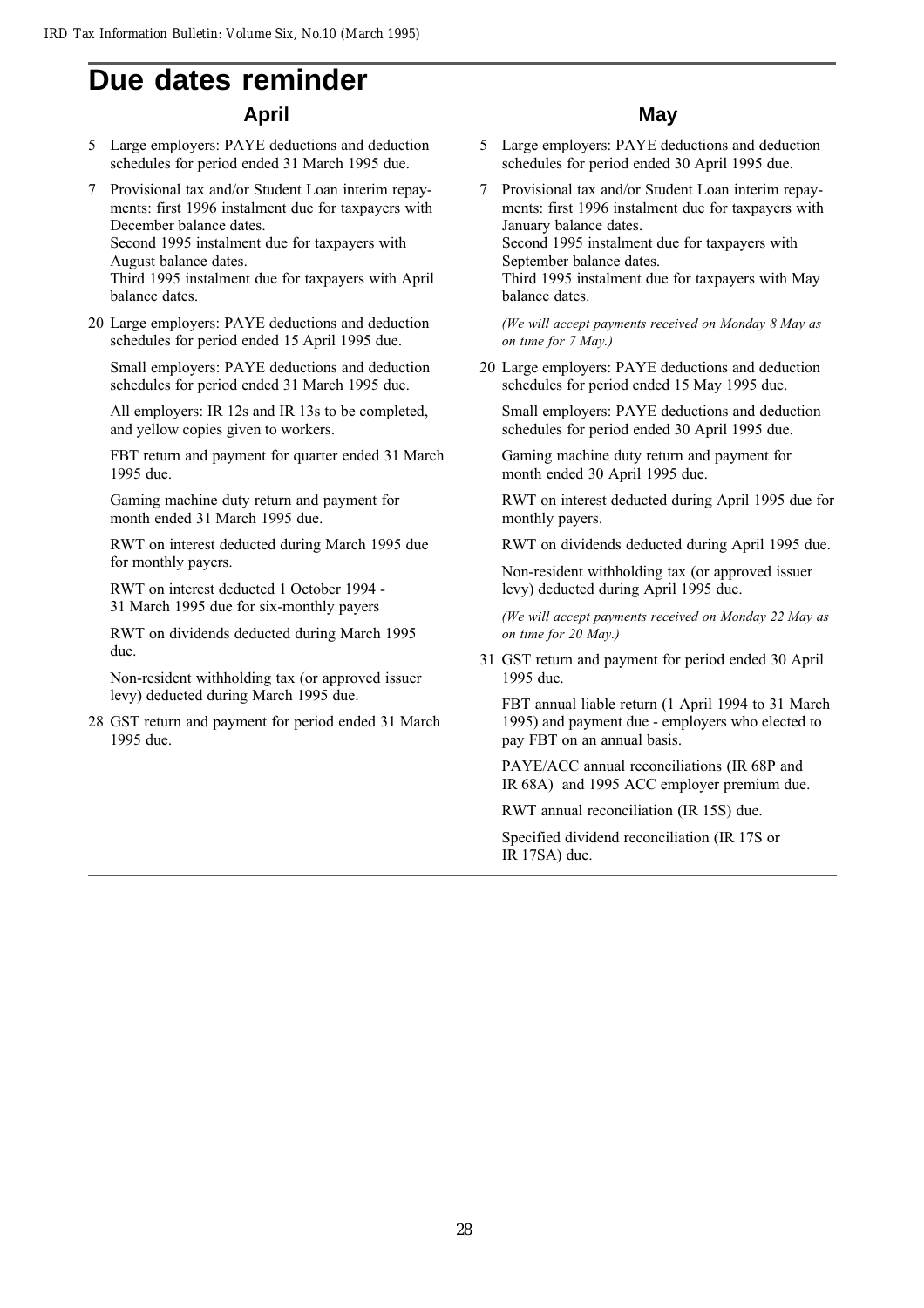# **Due dates reminder**

#### **April**

- 5 Large employers: PAYE deductions and deduction schedules for period ended 31 March 1995 due.
- 7 Provisional tax and/or Student Loan interim repayments: first 1996 instalment due for taxpayers with December balance dates. Second 1995 instalment due for taxpayers with August balance dates. Third 1995 instalment due for taxpayers with April balance dates.
- 20 Large employers: PAYE deductions and deduction schedules for period ended 15 April 1995 due.

Small employers: PAYE deductions and deduction schedules for period ended 31 March 1995 due.

All employers: IR 12s and IR 13s to be completed, and yellow copies given to workers.

FBT return and payment for quarter ended 31 March 1995 due.

Gaming machine duty return and payment for month ended 31 March 1995 due.

RWT on interest deducted during March 1995 due for monthly payers.

RWT on interest deducted 1 October 1994 - 31 March 1995 due for six-monthly payers

RWT on dividends deducted during March 1995 due.

Non-resident withholding tax (or approved issuer levy) deducted during March 1995 due.

28 GST return and payment for period ended 31 March 1995 due.

#### **May**

- 5 Large employers: PAYE deductions and deduction schedules for period ended 30 April 1995 due.
- 7 Provisional tax and/or Student Loan interim repayments: first 1996 instalment due for taxpayers with January balance dates. Second 1995 instalment due for taxpayers with

September balance dates. Third 1995 instalment due for taxpayers with May balance dates.

(We will accept payments received on Monday 8 May as on time for 7 May.)

20 Large employers: PAYE deductions and deduction schedules for period ended 15 May 1995 due.

Small employers: PAYE deductions and deduction schedules for period ended 30 April 1995 due.

Gaming machine duty return and payment for month ended 30 April 1995 due.

RWT on interest deducted during April 1995 due for monthly payers.

RWT on dividends deducted during April 1995 due.

Non-resident withholding tax (or approved issuer levy) deducted during April 1995 due.

(We will accept payments received on Monday 22 May as on time for 20 May.)

31 GST return and payment for period ended 30 April 1995 due.

FBT annual liable return (1 April 1994 to 31 March 1995) and payment due - employers who elected to pay FBT on an annual basis.

PAYE/ACC annual reconciliations (IR 68P and IR 68A) and 1995 ACC employer premium due.

RWT annual reconciliation (IR 15S) due.

Specified dividend reconciliation (IR 17S or IR 17SA) due.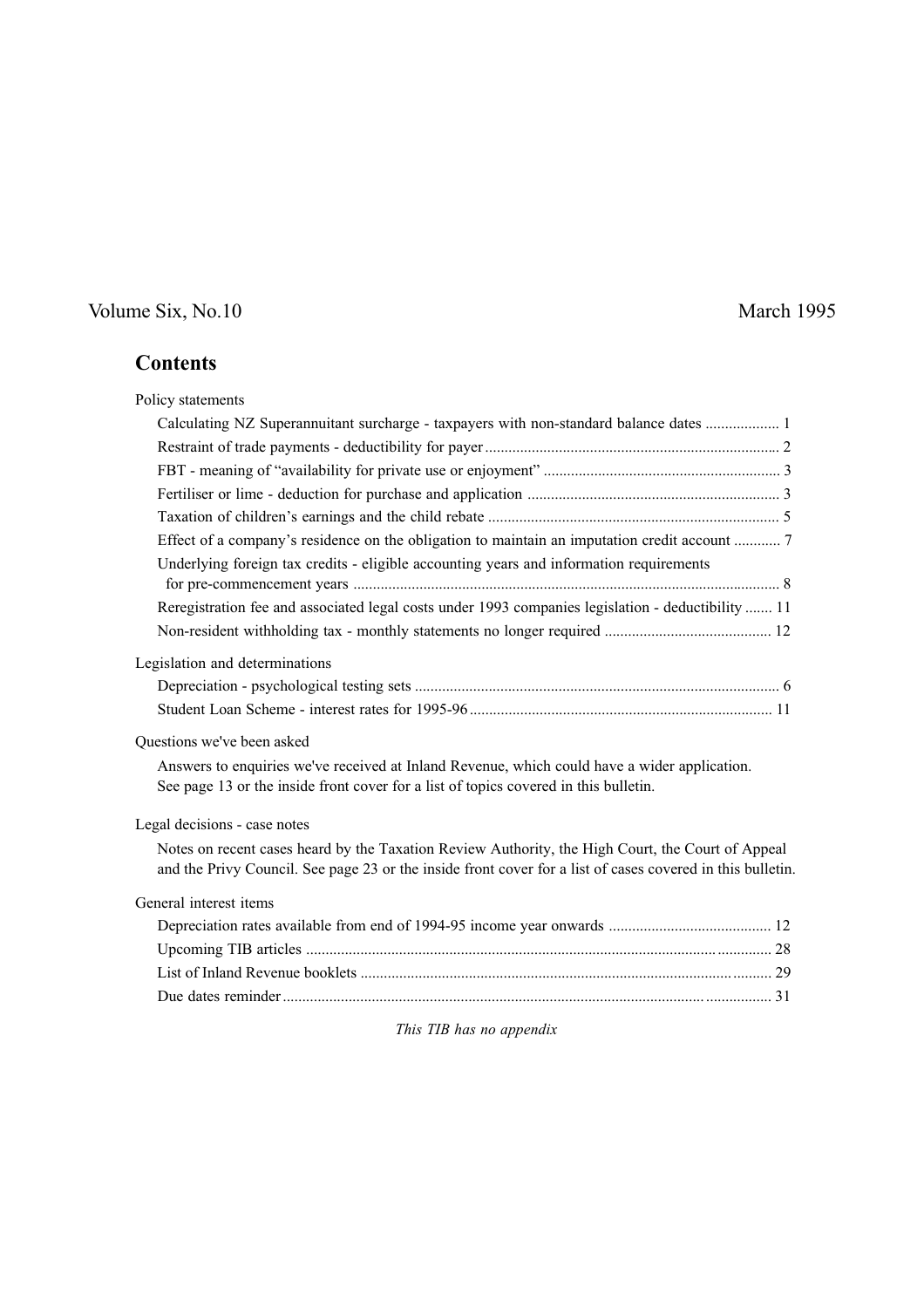# Volume Six, No.10 March 1995

### **Contents**

| Policy statements                                                                                                                                                                                               |  |  |  |
|-----------------------------------------------------------------------------------------------------------------------------------------------------------------------------------------------------------------|--|--|--|
| Calculating NZ Superannuitant surcharge - taxpayers with non-standard balance dates  1                                                                                                                          |  |  |  |
|                                                                                                                                                                                                                 |  |  |  |
|                                                                                                                                                                                                                 |  |  |  |
|                                                                                                                                                                                                                 |  |  |  |
|                                                                                                                                                                                                                 |  |  |  |
| Effect of a company's residence on the obligation to maintain an imputation credit account  7                                                                                                                   |  |  |  |
| Underlying foreign tax credits - eligible accounting years and information requirements                                                                                                                         |  |  |  |
|                                                                                                                                                                                                                 |  |  |  |
| Reregistration fee and associated legal costs under 1993 companies legislation - deductibility  11                                                                                                              |  |  |  |
|                                                                                                                                                                                                                 |  |  |  |
| Legislation and determinations                                                                                                                                                                                  |  |  |  |
|                                                                                                                                                                                                                 |  |  |  |
|                                                                                                                                                                                                                 |  |  |  |
| Questions we've been asked                                                                                                                                                                                      |  |  |  |
| Answers to enquiries we've received at Inland Revenue, which could have a wider application.<br>See page 13 or the inside front cover for a list of topics covered in this bulletin.                            |  |  |  |
| Legal decisions - case notes                                                                                                                                                                                    |  |  |  |
| Notes on recent cases heard by the Taxation Review Authority, the High Court, the Court of Appeal<br>and the Privy Council. See page 23 or the inside front cover for a list of cases covered in this bulletin. |  |  |  |
| General interest items                                                                                                                                                                                          |  |  |  |
|                                                                                                                                                                                                                 |  |  |  |
|                                                                                                                                                                                                                 |  |  |  |
|                                                                                                                                                                                                                 |  |  |  |
|                                                                                                                                                                                                                 |  |  |  |

This TIB has no appendix